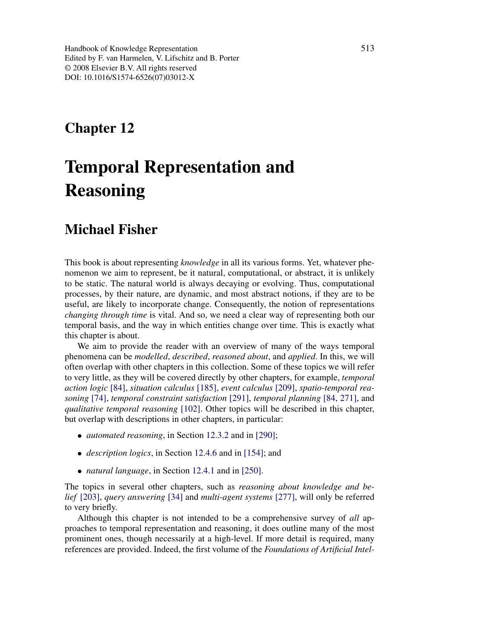Handbook of Knowledge Representation Edited by F. van Harmelen, V. Lifschitz and B. Porter © 2008 Elsevier B.V. All rights reserved DOI: 10.1016/S1574-6526(07)03012-X

# Chapter 12

# Temporal Representation and Reasoning

# Michael Fisher

This book is about representing knowledge in all its various forms. Yet, whatever phenomenon we aim to represent, be it natural, computational, or abstract, it is unlikely to be static. The natural world is always decaying or evolving. Thus, computational processes, by their nature, are dynamic, and most abstract notions, if they are to be useful, are likely to incorporate change. Consequently, the notion of representations changing through time is vital. And so, we need a clear way of representing both our temporal basis, and the way in which entities change over time. This is exactly what this chapter is about.

We aim to provide the reader with an overview of many of the ways temporal phenomena can be modelled, described, reasoned about, and applied. In this, we will often overlap with other chapters in this collection. Some of these topics we will refer to very little, as they will be covered directly by other chapters, for example, temporal action logic [84], situation calculus [185], event calculus [209], spatio-temporal reasoning [74], temporal constraint satisfaction [291], temporal planning [84, 271], and qualitative temporal reasoning [102]. Other topics will be described in this chapter, but overlap with descriptions in other chapters, in particular:

- *automated reasoning*, in Section 12.3.2 and in [290];
- *description logics*, in Section 12.4.6 and in [154]; and
- *natural language*, in Section 12.4.1 and in [250].

The topics in several other chapters, such as reasoning about knowledge and belief [203], query answering [34] and multi-agent systems [277], will only be referred to very briefly.

Although this chapter is not intended to be a comprehensive survey of all approaches to temporal representation and reasoning, it does outline many of the most prominent ones, though necessarily at a high-level. If more detail is required, many references are provided. Indeed, the first volume of the Foundations of Artificial Intel-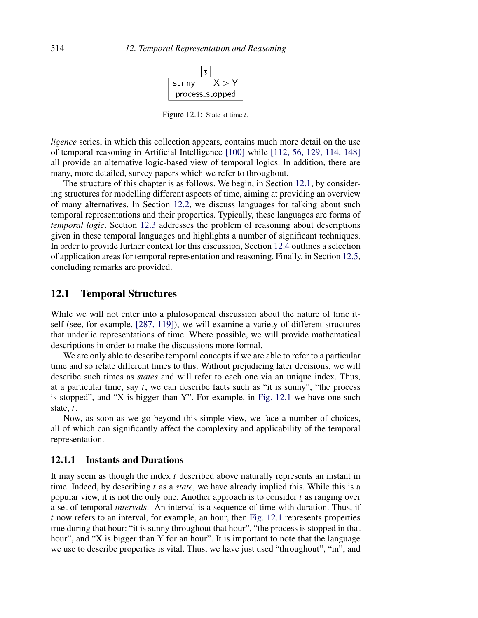

Figure 12.1: State at time  $t$ .

ligence series, in which this collection appears, contains much more detail on the use of temporal reasoning in Artificial Intelligence [100] while [112, 56, 129, 114, 148] all provide an alternative logic-based view of temporal logics. In addition, there are many, more detailed, survey papers which we refer to throughout.

The structure of this chapter is as follows. We begin, in Section 12.1, by considering structures for modelling different aspects of time, aiming at providing an overview of many alternatives. In Section 12.2, we discuss languages for talking about such temporal representations and their properties. Typically, these languages are forms of temporal logic. Section 12.3 addresses the problem of reasoning about descriptions given in these temporal languages and highlights a number of significant techniques. In order to provide further context for this discussion, Section 12.4 outlines a selection of application areas for temporal representation and reasoning. Finally, in Section 12.5, concluding remarks are provided.

# 12.1 Temporal Structures

While we will not enter into a philosophical discussion about the nature of time itself (see, for example, [287, 119]), we will examine a variety of different structures that underlie representations of time. Where possible, we will provide mathematical descriptions in order to make the discussions more formal.

We are only able to describe temporal concepts if we are able to refer to a particular time and so relate different times to this. Without prejudicing later decisions, we will describe such times as *states* and will refer to each one via an unique index. Thus, at a particular time, say  $t$ , we can describe facts such as "it is sunny", "the process is stopped", and "X is bigger than Y". For example, in Fig. 12.1 we have one such state, t.

Now, as soon as we go beyond this simple view, we face a number of choices, all of which can significantly affect the complexity and applicability of the temporal representation.

### 12.1.1 Instants and Durations

It may seem as though the index  $t$  described above naturally represents an instant in time. Indeed, by describing t as a *state*, we have already implied this. While this is a popular view, it is not the only one. Another approach is to consider  $t$  as ranging over a set of temporal intervals. An interval is a sequence of time with duration. Thus, if  $t$  now refers to an interval, for example, an hour, then Fig. 12.1 represents properties true during that hour: "it is sunny throughout that hour", "the process is stopped in that hour", and "X is bigger than Y for an hour". It is important to note that the language we use to describe properties is vital. Thus, we have just used "throughout", "in", and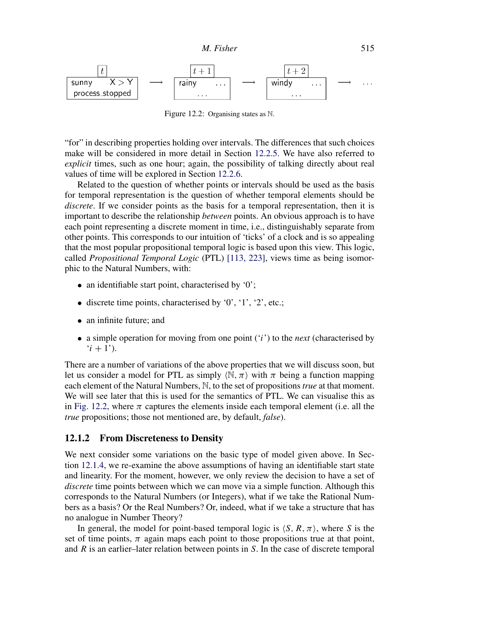

Figure 12.2: Organising states as N.

"for" in describing properties holding over intervals. The differences that such choices make will be considered in more detail in Section 12.2.5. We have also referred to explicit times, such as one hour; again, the possibility of talking directly about real values of time will be explored in Section 12.2.6.

Related to the question of whether points or intervals should be used as the basis for temporal representation is the question of whether temporal elements should be discrete. If we consider points as the basis for a temporal representation, then it is important to describe the relationship between points. An obvious approach is to have each point representing a discrete moment in time, i.e., distinguishably separate from other points. This corresponds to our intuition of 'ticks' of a clock and is so appealing that the most popular propositional temporal logic is based upon this view. This logic, called Propositional Temporal Logic (PTL) [113, 223], views time as being isomorphic to the Natural Numbers, with:

- an identifiable start point, characterised by '0';
- discrete time points, characterised by  $0'$ ,  $1'$ ,  $2'$ , etc.;
- an infinite future; and
- a simple operation for moving from one point  $(i')$  to the *next* (characterised by  $(i + 1)$ .

There are a number of variations of the above properties that we will discuss soon, but let us consider a model for PTL as simply  $\langle \mathbb{N}, \pi \rangle$  with  $\pi$  being a function mapping each element of the Natural Numbers, N, to the set of propositions *true* at that moment. We will see later that this is used for the semantics of PTL. We can visualise this as in Fig. 12.2, where  $\pi$  captures the elements inside each temporal element (i.e. all the true propositions; those not mentioned are, by default, false).

#### 12.1.2 From Discreteness to Density

We next consider some variations on the basic type of model given above. In Section 12.1.4, we re-examine the above assumptions of having an identifiable start state and linearity. For the moment, however, we only review the decision to have a set of discrete time points between which we can move via a simple function. Although this corresponds to the Natural Numbers (or Integers), what if we take the Rational Numbers as a basis? Or the Real Numbers? Or, indeed, what if we take a structure that has no analogue in Number Theory?

In general, the model for point-based temporal logic is  $\langle S, R, \pi \rangle$ , where S is the set of time points,  $\pi$  again maps each point to those propositions true at that point, and  $R$  is an earlier–later relation between points in  $S$ . In the case of discrete temporal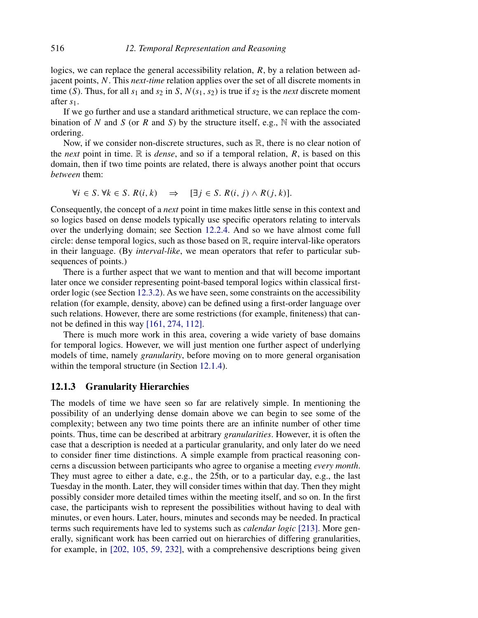logics, we can replace the general accessibility relation,  $R$ , by a relation between adjacent points, N. This *next-time* relation applies over the set of all discrete moments in time (S). Thus, for all  $s_1$  and  $s_2$  in S,  $N(s_1, s_2)$  is true if  $s_2$  is the *next* discrete moment after s1.

If we go further and use a standard arithmetical structure, we can replace the combination of N and S (or R and S) by the structure itself, e.g.,  $\mathbb N$  with the associated ordering.

Now, if we consider non-discrete structures, such as  $\mathbb{R}$ , there is no clear notion of the *next* point in time.  $\mathbb R$  is *dense*, and so if a temporal relation, R, is based on this domain, then if two time points are related, there is always another point that occurs between them:

$$
\forall i \in S. \ \forall k \in S. \ R(i,k) \quad \Rightarrow \quad [\exists j \in S. \ R(i,j) \land R(j,k)].
$$

Consequently, the concept of a *next* point in time makes little sense in this context and so logics based on dense models typically use specific operators relating to intervals over the underlying domain; see Section 12.2.4. And so we have almost come full circle: dense temporal logics, such as those based on R, require interval-like operators in their language. (By *interval-like*, we mean operators that refer to particular subsequences of points.)

There is a further aspect that we want to mention and that will become important later once we consider representing point-based temporal logics within classical firstorder logic (see Section 12.3.2). As we have seen, some constraints on the accessibility relation (for example, density, above) can be defined using a first-order language over such relations. However, there are some restrictions (for example, finiteness) that cannot be defined in this way [161, 274, 112].

There is much more work in this area, covering a wide variety of base domains for temporal logics. However, we will just mention one further aspect of underlying models of time, namely granularity, before moving on to more general organisation within the temporal structure (in Section 12.1.4).

#### 12.1.3 Granularity Hierarchies

The models of time we have seen so far are relatively simple. In mentioning the possibility of an underlying dense domain above we can begin to see some of the complexity; between any two time points there are an infinite number of other time points. Thus, time can be described at arbitrary *granularities*. However, it is often the case that a description is needed at a particular granularity, and only later do we need to consider finer time distinctions. A simple example from practical reasoning concerns a discussion between participants who agree to organise a meeting every month. They must agree to either a date, e.g., the 25th, or to a particular day, e.g., the last Tuesday in the month. Later, they will consider times within that day. Then they might possibly consider more detailed times within the meeting itself, and so on. In the first case, the participants wish to represent the possibilities without having to deal with minutes, or even hours. Later, hours, minutes and seconds may be needed. In practical terms such requirements have led to systems such as *calendar logic* [213]. More generally, significant work has been carried out on hierarchies of differing granularities, for example, in [202, 105, 59, 232], with a comprehensive descriptions being given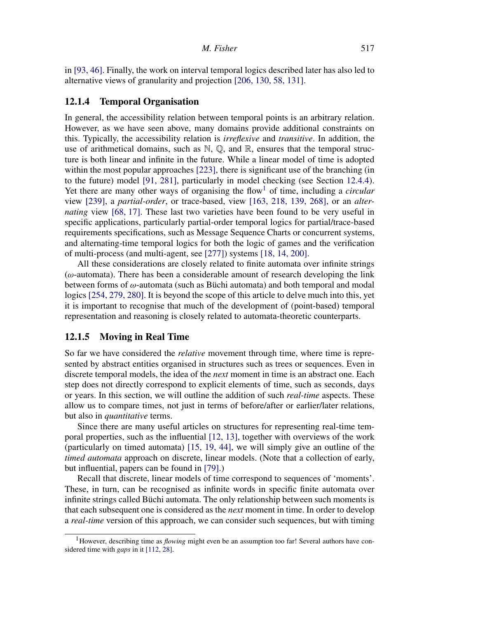in [93, 46]. Finally, the work on interval temporal logics described later has also led to alternative views of granularity and projection [206, 130, 58, 131].

#### 12.1.4 Temporal Organisation

In general, the accessibility relation between temporal points is an arbitrary relation. However, as we have seen above, many domains provide additional constraints on this. Typically, the accessibility relation is irreflexive and transitive. In addition, the use of arithmetical domains, such as  $\mathbb{N}, \mathbb{Q}$ , and  $\mathbb{R}$ , ensures that the temporal structure is both linear and infinite in the future. While a linear model of time is adopted within the most popular approaches [223], there is significant use of the branching (in to the future) model [91, 281], particularly in model checking (see Section 12.4.4). Yet there are many other ways of organising the flow<sup>1</sup> of time, including a *circular* view [239], a partial-order, or trace-based, view [163, 218, 139, 268], or an alternating view [68, 17]. These last two varieties have been found to be very useful in specific applications, particularly partial-order temporal logics for partial/trace-based requirements specifications, such as Message Sequence Charts or concurrent systems, and alternating-time temporal logics for both the logic of games and the verification of multi-process (and multi-agent, see [277]) systems [18, 14, 200].

All these considerations are closely related to finite automata over infinite strings  $(\omega$ -automata). There has been a considerable amount of research developing the link between forms of  $\omega$ -automata (such as Büchi automata) and both temporal and modal logics [254, 279, 280]. It is beyond the scope of this article to delve much into this, yet it is important to recognise that much of the development of (point-based) temporal representation and reasoning is closely related to automata-theoretic counterparts.

#### 12.1.5 Moving in Real Time

So far we have considered the relative movement through time, where time is represented by abstract entities organised in structures such as trees or sequences. Even in discrete temporal models, the idea of the *next* moment in time is an abstract one. Each step does not directly correspond to explicit elements of time, such as seconds, days or years. In this section, we will outline the addition of such real-time aspects. These allow us to compare times, not just in terms of before/after or earlier/later relations, but also in quantitative terms.

Since there are many useful articles on structures for representing real-time temporal properties, such as the influential [12, 13], together with overviews of the work (particularly on timed automata) [15, 19, 44], we will simply give an outline of the timed automata approach on discrete, linear models. (Note that a collection of early, but influential, papers can be found in [79].)

Recall that discrete, linear models of time correspond to sequences of 'moments'. These, in turn, can be recognised as infinite words in specific finite automata over infinite strings called Büchi automata. The only relationship between such moments is that each subsequent one is considered as the *next* moment in time. In order to develop a real-time version of this approach, we can consider such sequences, but with timing

<sup>&</sup>lt;sup>1</sup>However, describing time as *flowing* might even be an assumption too far! Several authors have considered time with *gaps* in it [112, 28].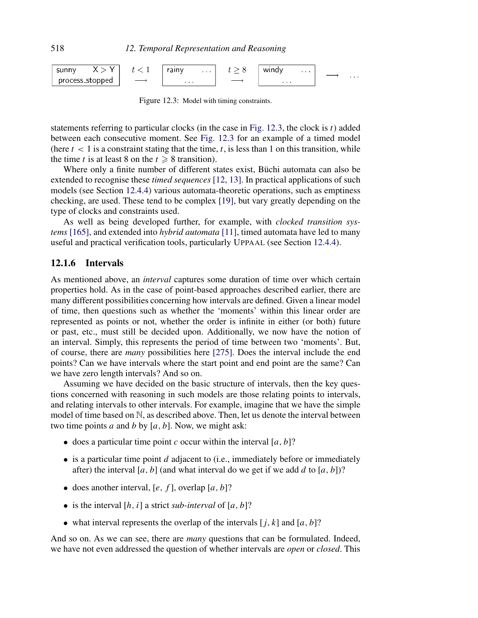

Figure 12.3: Model with timing constraints.

statements referring to particular clocks (in the case in Fig. 12.3, the clock is  $t$ ) added between each consecutive moment. See Fig. 12.3 for an example of a timed model (here  $t < 1$  is a constraint stating that the time, t, is less than 1 on this transition, while the time t is at least 8 on the  $t \geq 8$  transition).

Where only a finite number of different states exist, Büchi automata can also be extended to recognise these *timed sequences* [12, 13]. In practical applications of such models (see Section 12.4.4) various automata-theoretic operations, such as emptiness checking, are used. These tend to be complex [19], but vary greatly depending on the type of clocks and constraints used.

As well as being developed further, for example, with *clocked transition sys*tems [165], and extended into *hybrid automata* [11], timed automata have led to many useful and practical verification tools, particularly UPPAAL (see Section 12.4.4).

#### 12.1.6 Intervals

As mentioned above, an interval captures some duration of time over which certain properties hold. As in the case of point-based approaches described earlier, there are many different possibilities concerning how intervals are defined. Given a linear model of time, then questions such as whether the 'moments' within this linear order are represented as points or not, whether the order is infinite in either (or both) future or past, etc., must still be decided upon. Additionally, we now have the notion of an interval. Simply, this represents the period of time between two 'moments'. But, of course, there are many possibilities here [275]. Does the interval include the end points? Can we have intervals where the start point and end point are the same? Can we have zero length intervals? And so on.

Assuming we have decided on the basic structure of intervals, then the key questions concerned with reasoning in such models are those relating points to intervals, and relating intervals to other intervals. For example, imagine that we have the simple model of time based on N, as described above. Then, let us denote the interval between two time points a and b by  $[a, b]$ . Now, we might ask:

- does a particular time point c occur within the interval  $[a, b]$ ?
- is a particular time point d adjacent to (i.e., immediately before or immediately after) the interval [a, b] (and what interval do we get if we add d to [a, b])?
- does another interval,  $[e, f]$ , overlap  $[a, b]$ ?
- is the interval  $[h, i]$  a strict sub-interval of  $[a, b]$ ?
- what interval represents the overlap of the intervals  $[j, k]$  and  $[a, b]$ ?

And so on. As we can see, there are *many* questions that can be formulated. Indeed, we have not even addressed the question of whether intervals are *open* or *closed*. This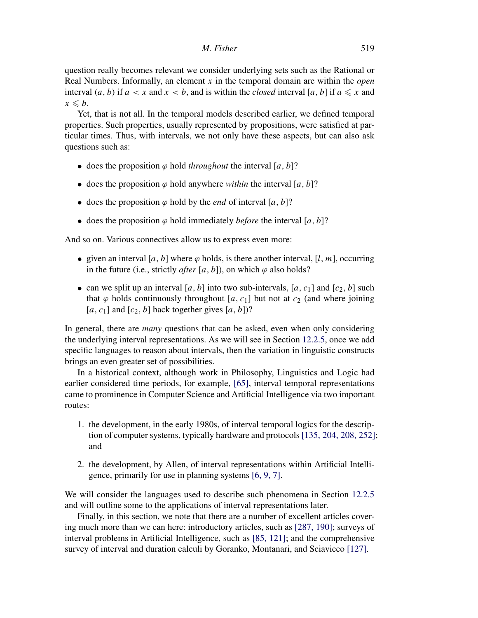question really becomes relevant we consider underlying sets such as the Rational or Real Numbers. Informally, an element  $x$  in the temporal domain are within the *open* interval  $(a, b)$  if  $a < x$  and  $x < b$ , and is within the *closed* interval [a, b] if  $a \le x$  and  $x \leq b$ .

Yet, that is not all. In the temporal models described earlier, we defined temporal properties. Such properties, usually represented by propositions, were satisfied at particular times. Thus, with intervals, we not only have these aspects, but can also ask questions such as:

- does the proposition  $\varphi$  hold throughout the interval [a, b]?
- does the proposition  $\varphi$  hold anywhere *within* the interval [a, b]?
- does the proposition  $\varphi$  hold by the *end* of interval [a, b]?
- does the proposition  $\varphi$  hold immediately *before* the interval [a, b]?

And so on. Various connectives allow us to express even more:

- given an interval [a, b] where  $\varphi$  holds, is there another interval, [l, m], occurring in the future (i.e., strictly *after* [a, b]), on which  $\varphi$  also holds?
- can we split up an interval [a, b] into two sub-intervals, [a, c<sub>1</sub>] and [c<sub>2</sub>, b] such that  $\varphi$  holds continuously throughout [a, c<sub>1</sub>] but not at c<sub>2</sub> (and where joining [a, c<sub>1</sub>] and  $[c_2, b]$  back together gives [a, b])?

In general, there are *many* questions that can be asked, even when only considering the underlying interval representations. As we will see in Section 12.2.5, once we add specific languages to reason about intervals, then the variation in linguistic constructs brings an even greater set of possibilities.

In a historical context, although work in Philosophy, Linguistics and Logic had earlier considered time periods, for example, [65], interval temporal representations came to prominence in Computer Science and Artificial Intelligence via two important routes:

- 1. the development, in the early 1980s, of interval temporal logics for the description of computer systems, typically hardware and protocols[135, 204, 208, 252]; and
- 2. the development, by Allen, of interval representations within Artificial Intelligence, primarily for use in planning systems [6, 9, 7].

We will consider the languages used to describe such phenomena in Section 12.2.5 and will outline some to the applications of interval representations later.

Finally, in this section, we note that there are a number of excellent articles covering much more than we can here: introductory articles, such as [287, 190]; surveys of interval problems in Artificial Intelligence, such as [85, 121]; and the comprehensive survey of interval and duration calculi by Goranko, Montanari, and Sciavicco [127].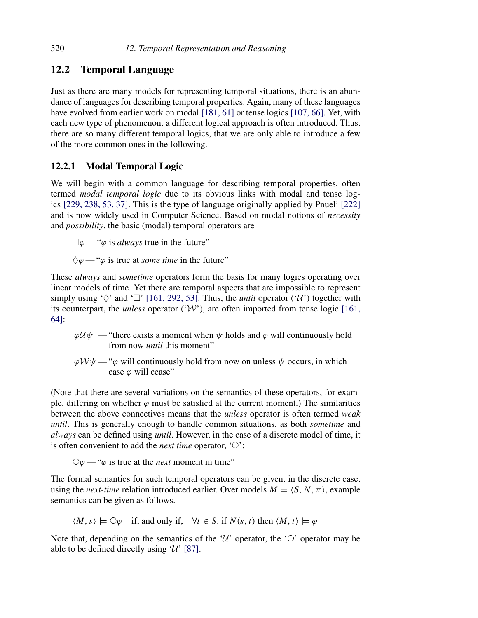# 12.2 Temporal Language

Just as there are many models for representing temporal situations, there is an abundance of languages for describing temporal properties. Again, many of these languages have evolved from earlier work on modal [181, 61] or tense logics [107, 66]. Yet, with each new type of phenomenon, a different logical approach is often introduced. Thus, there are so many different temporal logics, that we are only able to introduce a few of the more common ones in the following.

# 12.2.1 Modal Temporal Logic

We will begin with a common language for describing temporal properties, often termed *modal temporal logic* due to its obvious links with modal and tense logics [229, 238, 53, 37]. This is the type of language originally applied by Pnueli [222] and is now widely used in Computer Science. Based on modal notions of necessity and *possibility*, the basic (modal) temporal operators are

 $\Box \varphi$  — " $\varphi$  is *always* true in the future"

 $\Diamond \varphi$  — " $\varphi$  is true at *some time* in the future"

These *always* and *sometime* operators form the basis for many logics operating over linear models of time. Yet there are temporal aspects that are impossible to represent simply using ' $\Diamond'$  and ' $\Box'$  [161, 292, 53]. Thus, the *until* operator ('U') together with its counterpart, the *unless* operator  $(\mathcal{W})$ , are often imported from tense logic [161, 64]:

- $\varphi \mathcal{U} \psi$  "there exists a moment when  $\psi$  holds and  $\varphi$  will continuously hold from now *until* this moment"
- $\varphi \mathcal{W} \psi$  " $\varphi$  will continuously hold from now on unless  $\psi$  occurs, in which case  $\varphi$  will cease"

(Note that there are several variations on the semantics of these operators, for example, differing on whether  $\varphi$  must be satisfied at the current moment.) The similarities between the above connectives means that the unless operator is often termed weak until. This is generally enough to handle common situations, as both *sometime* and always can be defined using until. However, in the case of a discrete model of time, it is often convenient to add the *next time* operator,  $\circlearrowleft$ :

 $\bigcirc \varphi$  — " $\varphi$  is true at the *next* moment in time"

The formal semantics for such temporal operators can be given, in the discrete case, using the *next-time* relation introduced earlier. Over models  $M = \langle S, N, \pi \rangle$ , example semantics can be given as follows.

 $\langle M, s \rangle \models \bigcirc \varphi$  if, and only if,  $\forall t \in S$ . if  $N(s, t)$  then  $\langle M, t \rangle \models \varphi$ 

Note that, depending on the semantics of the 'U' operator, the ' $\circ$ ' operator may be able to be defined directly using  $\mathcal{U}'$  [87].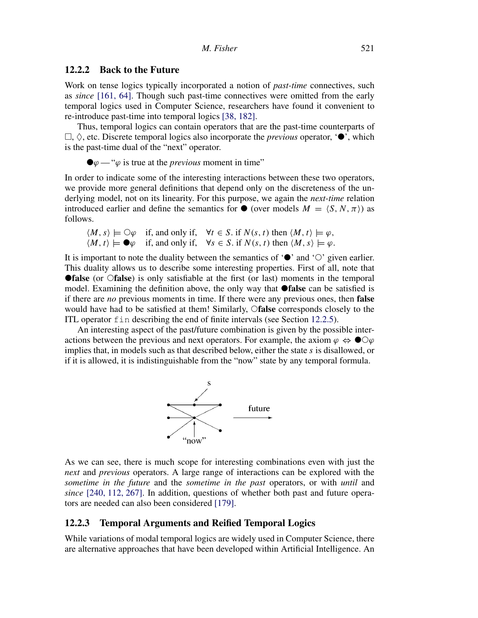#### 12.2.2 Back to the Future

Work on tense logics typically incorporated a notion of *past-time* connectives, such as since [161, 64]. Though such past-time connectives were omitted from the early temporal logics used in Computer Science, researchers have found it convenient to re-introduce past-time into temporal logics [38, 182].

Thus, temporal logics can contain operators that are the past-time counterparts of  $\Box$ ,  $\Diamond$ , etc. Discrete temporal logics also incorporate the *previous* operator, ' $\bullet$ ', which is the past-time dual of the "next" operator.

$$
\bullet \varphi
$$
 — " $\varphi$  is true at the *previous* moment in time"

In order to indicate some of the interesting interactions between these two operators, we provide more general definitions that depend only on the discreteness of the underlying model, not on its linearity. For this purpose, we again the *next-time* relation introduced earlier and define the semantics for  $\bullet$  (over models  $M = \langle S, N, \pi \rangle$ ) as follows.

$$
\langle M, s \rangle \models \bigcirc \varphi \quad \text{if, and only if,} \quad \forall t \in S. \text{ if } N(s, t) \text{ then } \langle M, t \rangle \models \varphi, \langle M, t \rangle \models \blacklozenge \varphi \quad \text{if, and only if,} \quad \forall s \in S. \text{ if } N(s, t) \text{ then } \langle M, s \rangle \models \varphi.
$$

It is important to note the duality between the semantics of  $\bullet$  and  $\circlearrowright$  given earlier. This duality allows us to describe some interesting properties. First of all, note that **Talse** (or  $\bigcirc$  false) is only satisfiable at the first (or last) moments in the temporal model. Examining the definition above, the only way that **Talse** can be satisfied is if there are no previous moments in time. If there were any previous ones, then false would have had to be satisfied at them! Similarly, Ofalse corresponds closely to the ITL operator fin describing the end of finite intervals (see Section 12.2.5).

An interesting aspect of the past/future combination is given by the possible interactions between the previous and next operators. For example, the axiom  $\varphi \Leftrightarrow \bullet \bigcirc \varphi$ implies that, in models such as that described below, either the state s is disallowed, or if it is allowed, it is indistinguishable from the "now" state by any temporal formula.



As we can see, there is much scope for interesting combinations even with just the next and previous operators. A large range of interactions can be explored with the sometime in the future and the sometime in the past operators, or with until and since [240, 112, 267]. In addition, questions of whether both past and future operators are needed can also been considered [179].

# 12.2.3 Temporal Arguments and Reified Temporal Logics

While variations of modal temporal logics are widely used in Computer Science, there are alternative approaches that have been developed within Artificial Intelligence. An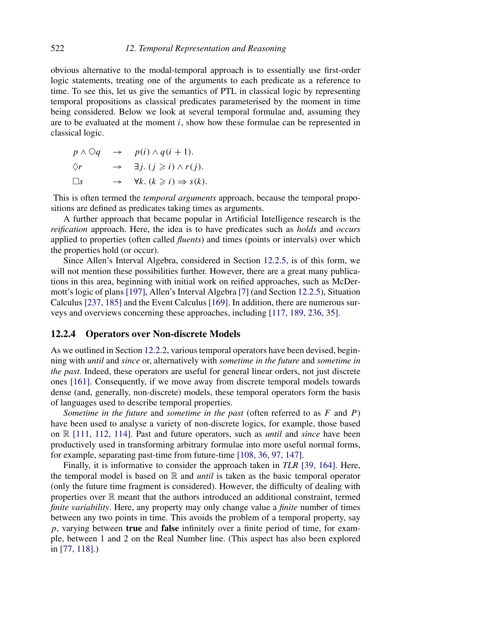obvious alternative to the modal-temporal approach is to essentially use first-order logic statements, treating one of the arguments to each predicate as a reference to time. To see this, let us give the semantics of PTL in classical logic by representing temporal propositions as classical predicates parameterised by the moment in time being considered. Below we look at several temporal formulae and, assuming they are to be evaluated at the moment  $i$ , show how these formulae can be represented in classical logic.

$$
p \land \bigcirc q \rightarrow p(i) \land q(i+1).
$$
  
\n
$$
\Diamond r \rightarrow \exists j. (j \geq i) \land r(j).
$$
  
\n
$$
\Box s \rightarrow \forall k. (k \geq i) \Rightarrow s(k).
$$

This is often termed the *temporal arguments* approach, because the temporal propositions are defined as predicates taking times as arguments.

A further approach that became popular in Artificial Intelligence research is the reification approach. Here, the idea is to have predicates such as *holds* and *occurs* applied to properties (often called *fluents*) and times (points or intervals) over which the properties hold (or occur).

Since Allen's Interval Algebra, considered in Section 12.2.5, is of this form, we will not mention these possibilities further. However, there are a great many publications in this area, beginning with initial work on reified approaches, such as McDermott's logic of plans [197], Allen's Interval Algebra [7] (and Section 12.2.5), Situation Calculus [237, 185] and the Event Calculus [169]. In addition, there are numerous surveys and overviews concerning these approaches, including [117, 189, 236, 35].

#### 12.2.4 Operators over Non-discrete Models

As we outlined in Section 12.2.2, various temporal operators have been devised, beginning with until and since or, alternatively with sometime in the future and sometime in the past. Indeed, these operators are useful for general linear orders, not just discrete ones [161]. Consequently, if we move away from discrete temporal models towards dense (and, generally, non-discrete) models, these temporal operators form the basis of languages used to describe temporal properties.

Sometime in the future and sometime in the past (often referred to as  $F$  and  $P$ ) have been used to analyse a variety of non-discrete logics, for example, those based on  $\mathbb R$  [111, 112, 114]. Past and future operators, such as *until* and *since* have been productively used in transforming arbitrary formulae into more useful normal forms, for example, separating past-time from future-time [108, 36, 97, 147].

Finally, it is informative to consider the approach taken in TLR [39, 164]. Here, the temporal model is based on  $\mathbb R$  and *until* is taken as the basic temporal operator (only the future time fragment is considered). However, the difficulty of dealing with properties over R meant that the authors introduced an additional constraint, termed finite variability. Here, any property may only change value a *finite* number of times between any two points in time. This avoids the problem of a temporal property, say  $p$ , varying between **true** and **false** infinitely over a finite period of time, for example, between 1 and 2 on the Real Number line. (This aspect has also been explored in [77, 118].)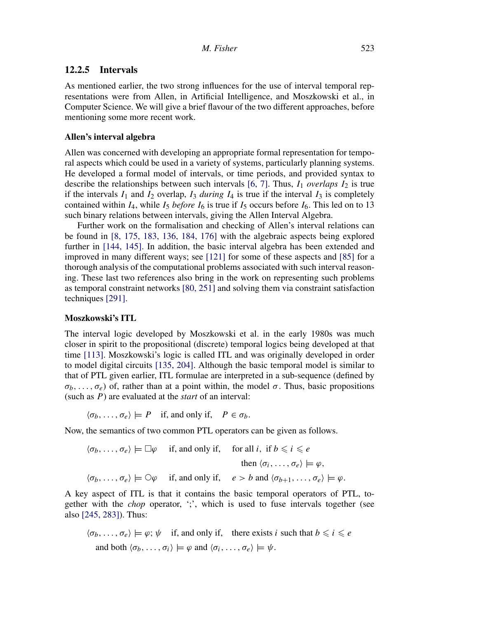#### 12.2.5 Intervals

As mentioned earlier, the two strong influences for the use of interval temporal representations were from Allen, in Artificial Intelligence, and Moszkowski et al., in Computer Science. We will give a brief flavour of the two different approaches, before mentioning some more recent work.

#### Allen's interval algebra

Allen was concerned with developing an appropriate formal representation for temporal aspects which could be used in a variety of systems, particularly planning systems. He developed a formal model of intervals, or time periods, and provided syntax to describe the relationships between such intervals  $[6, 7]$ . Thus,  $I_1$  overlaps  $I_2$  is true if the intervals  $I_1$  and  $I_2$  overlap,  $I_3$  during  $I_4$  is true if the interval  $I_3$  is completely contained within  $I_4$ , while  $I_5$  *before*  $I_6$  is true if  $I_5$  occurs before  $I_6$ . This led on to 13 such binary relations between intervals, giving the Allen Interval Algebra.

Further work on the formalisation and checking of Allen's interval relations can be found in [8, 175, 183, 136, 184, 176] with the algebraic aspects being explored further in [144, 145]. In addition, the basic interval algebra has been extended and improved in many different ways; see [121] for some of these aspects and [85] for a thorough analysis of the computational problems associated with such interval reasoning. These last two references also bring in the work on representing such problems as temporal constraint networks [80, 251] and solving them via constraint satisfaction techniques [291].

#### Moszkowski's ITL

The interval logic developed by Moszkowski et al. in the early 1980s was much closer in spirit to the propositional (discrete) temporal logics being developed at that time [113]. Moszkowski's logic is called ITL and was originally developed in order to model digital circuits [135, 204]. Although the basic temporal model is similar to that of PTL given earlier, ITL formulae are interpreted in a sub-sequence (defined by  $\sigma_b, \ldots, \sigma_e$ ) of, rather than at a point within, the model  $\sigma$ . Thus, basic propositions (such as  $P$ ) are evaluated at the *start* of an interval:

 $\langle \sigma_b, \ldots, \sigma_e \rangle \models P$  if, and only if,  $P \in \sigma_b$ .

Now, the semantics of two common PTL operators can be given as follows.

$$
\langle \sigma_b, \ldots, \sigma_e \rangle \models \Box \varphi \quad \text{if, and only if,} \quad \text{for all } i, \text{ if } b \leq i \leq e
$$
\n
$$
\text{then } \langle \sigma_i, \ldots, \sigma_e \rangle \models \varphi,
$$
\n
$$
\langle \sigma_b, \ldots, \sigma_e \rangle \models \bigcirc \varphi \quad \text{if, and only if,} \quad e > b \text{ and } \langle \sigma_{b+1}, \ldots, \sigma_e \rangle \models \varphi.
$$

A key aspect of ITL is that it contains the basic temporal operators of PTL, together with the chop operator, ';', which is used to fuse intervals together (see also [245, 283]). Thus:

$$
\langle \sigma_b, \dots, \sigma_e \rangle \models \varphi; \psi \quad \text{if, and only if,} \quad \text{there exists } i \text{ such that } b \leq i \leq e
$$
  
and both  $\langle \sigma_b, \dots, \sigma_i \rangle \models \varphi \text{ and } \langle \sigma_i, \dots, \sigma_e \rangle \models \psi.$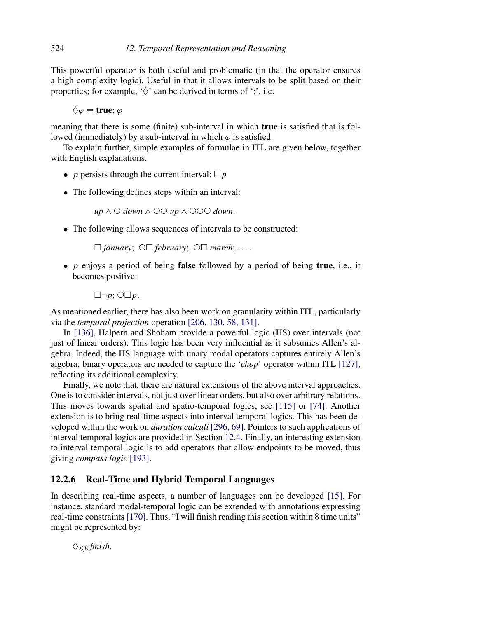This powerful operator is both useful and problematic (in that the operator ensures a high complexity logic). Useful in that it allows intervals to be split based on their properties; for example,  $\Diamond$  can be derived in terms of  $\Diamond$ , i.e.

 $\Diamond \varphi \equiv \textbf{true}; \varphi$ 

meaning that there is some (finite) sub-interval in which **true** is satisfied that is followed (immediately) by a sub-interval in which  $\varphi$  is satisfied.

To explain further, simple examples of formulae in ITL are given below, together with English explanations.

- *p* persists through the current interval:  $\Box p$
- The following defines steps within an interval:

 $up \wedge \bigcirc dom \wedge \bigcirc \bigcirc up \wedge \bigcirc \bigcirc \bigcirc down.$ 

• The following allows sequences of intervals to be constructed:

 $\Box$  january;  $\circ \Box$  february;  $\circ \Box$  march;....

• p enjoys a period of being false followed by a period of being true, i.e., it becomes positive:

 $\Box \neg p$ ;  $\bigcirc \Box p$ .

As mentioned earlier, there has also been work on granularity within ITL, particularly via the temporal projection operation [206, 130, 58, 131].

In [136], Halpern and Shoham provide a powerful logic (HS) over intervals (not just of linear orders). This logic has been very influential as it subsumes Allen's algebra. Indeed, the HS language with unary modal operators captures entirely Allen's algebra; binary operators are needed to capture the 'chop' operator within ITL [127], reflecting its additional complexity.

Finally, we note that, there are natural extensions of the above interval approaches. One is to consider intervals, not just over linear orders, but also over arbitrary relations. This moves towards spatial and spatio-temporal logics, see [115] or [74]. Another extension is to bring real-time aspects into interval temporal logics. This has been developed within the work on *duration calculi* [296, 69]. Pointers to such applications of interval temporal logics are provided in Section 12.4. Finally, an interesting extension to interval temporal logic is to add operators that allow endpoints to be moved, thus giving compass logic [193].

#### 12.2.6 Real-Time and Hybrid Temporal Languages

In describing real-time aspects, a number of languages can be developed [15]. For instance, standard modal-temporal logic can be extended with annotations expressing real-time constraints[170]. Thus, "I will finish reading this section within 8 time units" might be represented by:

 $\Diamond_{\leq 8}$  finish.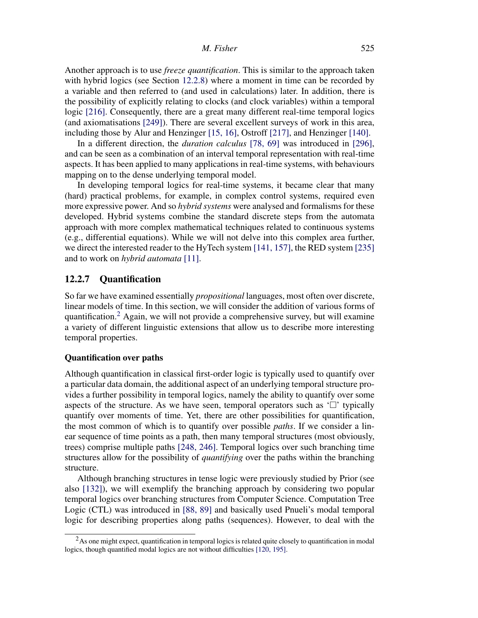Another approach is to use *freeze quantification*. This is similar to the approach taken with hybrid logics (see Section 12.2.8) where a moment in time can be recorded by a variable and then referred to (and used in calculations) later. In addition, there is the possibility of explicitly relating to clocks (and clock variables) within a temporal logic [216]. Consequently, there are a great many different real-time temporal logics (and axiomatisations [249]). There are several excellent surveys of work in this area, including those by Alur and Henzinger [15, 16], Ostroff [217], and Henzinger [140].

In a different direction, the duration calculus [78, 69] was introduced in [296], and can be seen as a combination of an interval temporal representation with real-time aspects. It has been applied to many applications in real-time systems, with behaviours mapping on to the dense underlying temporal model.

In developing temporal logics for real-time systems, it became clear that many (hard) practical problems, for example, in complex control systems, required even more expressive power. And so *hybrid systems* were analysed and formalisms for these developed. Hybrid systems combine the standard discrete steps from the automata approach with more complex mathematical techniques related to continuous systems (e.g., differential equations). While we will not delve into this complex area further, we direct the interested reader to the HyTech system [141, 157], the RED system [235] and to work on hybrid automata [11].

#### 12.2.7 Quantification

So far we have examined essentially propositional languages, most often over discrete, linear models of time. In this section, we will consider the addition of various forms of quantification.<sup>2</sup> Again, we will not provide a comprehensive survey, but will examine a variety of different linguistic extensions that allow us to describe more interesting temporal properties.

#### Quantification over paths

Although quantification in classical first-order logic is typically used to quantify over a particular data domain, the additional aspect of an underlying temporal structure provides a further possibility in temporal logics, namely the ability to quantify over some aspects of the structure. As we have seen, temporal operators such as  $\Box$  typically quantify over moments of time. Yet, there are other possibilities for quantification, the most common of which is to quantify over possible *paths*. If we consider a linear sequence of time points as a path, then many temporal structures (most obviously, trees) comprise multiple paths [248, 246]. Temporal logics over such branching time structures allow for the possibility of *quantifying* over the paths within the branching structure.

Although branching structures in tense logic were previously studied by Prior (see also [132]), we will exemplify the branching approach by considering two popular temporal logics over branching structures from Computer Science. Computation Tree Logic (CTL) was introduced in [88, 89] and basically used Pnueli's modal temporal logic for describing properties along paths (sequences). However, to deal with the

<sup>&</sup>lt;sup>2</sup>As one might expect, quantification in temporal logics is related quite closely to quantification in modal logics, though quantified modal logics are not without difficulties [120, 195].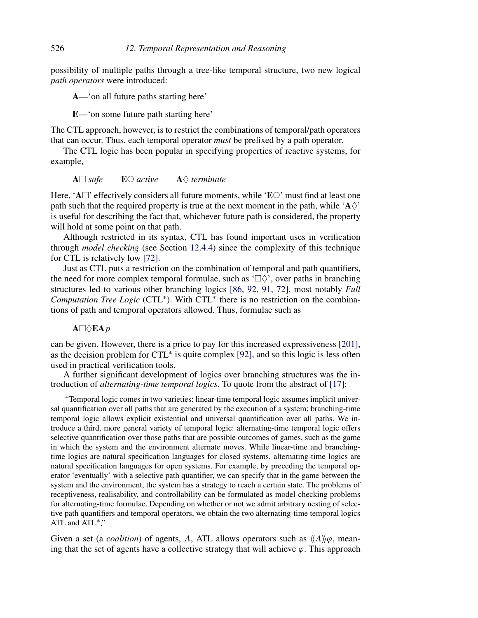possibility of multiple paths through a tree-like temporal structure, two new logical path operators were introduced:

A—'on all future paths starting here'

E—'on some future path starting here'

The CTL approach, however, is to restrict the combinations of temporal/path operators that can occur. Thus, each temporal operator *must* be prefixed by a path operator.

The CTL logic has been popular in specifying properties of reactive systems, for example,

#### $A \Box$  safe  $E \odot$  active  $A \Diamond$  terminate

Here, 'A $\Box$ ' effectively considers all future moments, while 'E $\circ$ ' must find at least one path such that the required property is true at the next moment in the path, while ' $A\Diamond'$ ' is useful for describing the fact that, whichever future path is considered, the property will hold at some point on that path.

Although restricted in its syntax, CTL has found important uses in verification through model checking (see Section 12.4.4) since the complexity of this technique for CTL is relatively low [72].

Just as CTL puts a restriction on the combination of temporal and path quantifiers, the need for more complex temporal formulae, such as ' $\Box \Diamond$ ', over paths in branching structures led to various other branching logics [86, 92, 91, 72], most notably Full Computation Tree Logic (CTL<sup>\*</sup>). With CTL<sup>\*</sup> there is no restriction on the combinations of path and temporal operators allowed. Thus, formulae such as

#### ${\bf A}\Box\Diamond {\bf E}{\bf A}\,p$

can be given. However, there is a price to pay for this increased expressiveness [201], as the decision problem for CTL<sup>∗</sup> is quite complex [92], and so this logic is less often used in practical verification tools.

A further significant development of logics over branching structures was the introduction of *alternating-time temporal logics*. To quote from the abstract of [17]:

"Temporal logic comes in two varieties: linear-time temporal logic assumes implicit universal quantification over all paths that are generated by the execution of a system; branching-time temporal logic allows explicit existential and universal quantification over all paths. We introduce a third, more general variety of temporal logic: alternating-time temporal logic offers selective quantification over those paths that are possible outcomes of games, such as the game in which the system and the environment alternate moves. While linear-time and branchingtime logics are natural specification languages for closed systems, alternating-time logics are natural specification languages for open systems. For example, by preceding the temporal operator 'eventually' with a selective path quantifier, we can specify that in the game between the system and the environment, the system has a strategy to reach a certain state. The problems of receptiveness, realisability, and controllability can be formulated as model-checking problems for alternating-time formulae. Depending on whether or not we admit arbitrary nesting of selective path quantifiers and temporal operators, we obtain the two alternating-time temporal logics ATL and ATL∗."

Given a set (a *coalition*) of agents, A, ATL allows operators such as  $\langle A \rangle \varphi$ , meaning that the set of agents have a collective strategy that will achieve  $\varphi$ . This approach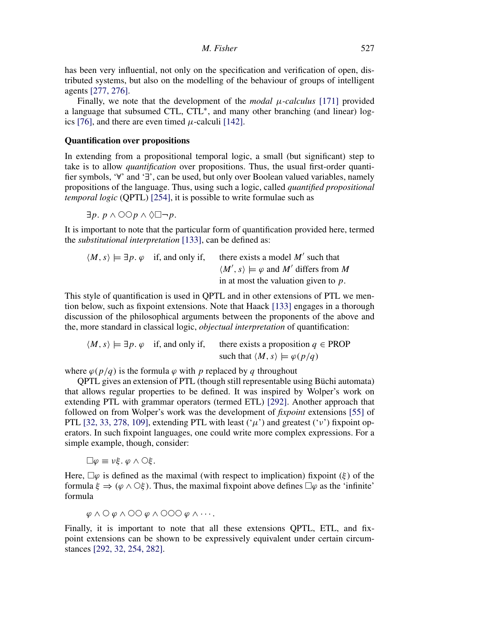has been very influential, not only on the specification and verification of open, distributed systems, but also on the modelling of the behaviour of groups of intelligent agents [277, 276].

Finally, we note that the development of the *modal*  $\mu$ *-calculus* [171] provided a language that subsumed CTL, CTL∗, and many other branching (and linear) logics [76], and there are even timed  $\mu$ -calculi [142].

#### Quantification over propositions

In extending from a propositional temporal logic, a small (but significant) step to take is to allow *quantification* over propositions. Thus, the usual first-order quantifier symbols, '∀' and '∃', can be used, but only over Boolean valued variables, namely propositions of the language. Thus, using such a logic, called quantified propositional temporal logic (QPTL) [254], it is possible to write formulae such as

 $\exists p. p \land \bigcirc \bigcirc p \land \bigcirc \Box \neg p.$ 

It is important to note that the particular form of quantification provided here, termed the substitutional interpretation [133], can be defined as:

$$
\langle M, s \rangle \models \exists p. \varphi \text{ if, and only if, } there exists a model M' such that
$$

$$
\langle M', s \rangle \models \varphi \text{ and } M' \text{ differs from } M
$$
  
in at most the valuation given to p.

This style of quantification is used in QPTL and in other extensions of PTL we mention below, such as fixpoint extensions. Note that Haack [133] engages in a thorough discussion of the philosophical arguments between the proponents of the above and the, more standard in classical logic, objectual interpretation of quantification:

 $\langle M, s \rangle \models \exists p. \varphi$  if, and only if, there exists a proposition  $q \in \text{PROP}$ such that  $\langle M, s \rangle \models \varphi(p/q)$ 

where  $\varphi(p/q)$  is the formula  $\varphi$  with p replaced by q throughout

QPTL gives an extension of PTL (though still representable using Büchi automata) that allows regular properties to be defined. It was inspired by Wolper's work on extending PTL with grammar operators (termed ETL) [292]. Another approach that followed on from Wolper's work was the development of *fixpoint* extensions [55] of PTL [32, 33, 278, 109], extending PTL with least  $({\cal W})$  and greatest  $({\cal V})$  fixpoint operators. In such fixpoint languages, one could write more complex expressions. For a simple example, though, consider:

 $\square \varphi \equiv \nu \xi$ .  $\varphi \wedge \bigcirc \xi$ .

Here,  $\Box \varphi$  is defined as the maximal (with respect to implication) fixpoint (ξ) of the formula  $\xi \Rightarrow (\varphi \wedge \bigcirc \xi)$ . Thus, the maximal fixpoint above defines  $\Box \varphi$  as the 'infinite' formula

 $\varphi \wedge \bigcirc \varphi \wedge \bigcirc \bigcirc \varphi \wedge \bigcirc \bigcirc \bigcirc \varphi \wedge \cdots$ 

Finally, it is important to note that all these extensions QPTL, ETL, and fixpoint extensions can be shown to be expressively equivalent under certain circumstances [292, 32, 254, 282].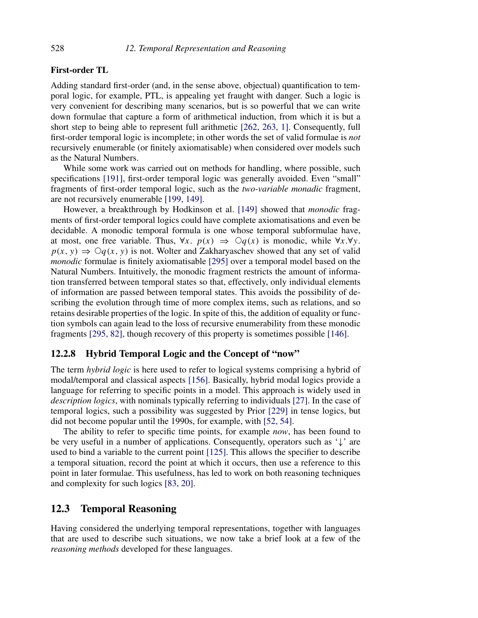#### First-order TL

Adding standard first-order (and, in the sense above, objectual) quantification to temporal logic, for example, PTL, is appealing yet fraught with danger. Such a logic is very convenient for describing many scenarios, but is so powerful that we can write down formulae that capture a form of arithmetical induction, from which it is but a short step to being able to represent full arithmetic [262, 263, 1]. Consequently, full first-order temporal logic is incomplete; in other words the set of valid formulae is not recursively enumerable (or finitely axiomatisable) when considered over models such as the Natural Numbers.

While some work was carried out on methods for handling, where possible, such specifications [191], first-order temporal logic was generally avoided. Even "small" fragments of first-order temporal logic, such as the two-variable monadic fragment, are not recursively enumerable [199, 149].

However, a breakthrough by Hodkinson et al. [149] showed that monodic fragments of first-order temporal logics could have complete axiomatisations and even be decidable. A monodic temporal formula is one whose temporal subformulae have, at most, one free variable. Thus,  $\forall x$ .  $p(x) \implies \bigcirc q(x)$  is monodic, while  $\forall x. \forall y$ .  $p(x, y) \Rightarrow \bigcirc q(x, y)$  is not. Wolter and Zakharyaschev showed that any set of valid monodic formulae is finitely axiomatisable [295] over a temporal model based on the Natural Numbers. Intuitively, the monodic fragment restricts the amount of information transferred between temporal states so that, effectively, only individual elements of information are passed between temporal states. This avoids the possibility of describing the evolution through time of more complex items, such as relations, and so retains desirable properties of the logic. In spite of this, the addition of equality or function symbols can again lead to the loss of recursive enumerability from these monodic fragments [295, 82], though recovery of this property is sometimes possible [146].

# 12.2.8 Hybrid Temporal Logic and the Concept of "now"

The term *hybrid logic* is here used to refer to logical systems comprising a hybrid of modal/temporal and classical aspects [156]. Basically, hybrid modal logics provide a language for referring to specific points in a model. This approach is widely used in description logics, with nominals typically referring to individuals [27]. In the case of temporal logics, such a possibility was suggested by Prior [229] in tense logics, but did not become popular until the 1990s, for example, with [52, 54].

The ability to refer to specific time points, for example *now*, has been found to be very useful in a number of applications. Consequently, operators such as  $\psi$  are used to bind a variable to the current point [125]. This allows the specifier to describe a temporal situation, record the point at which it occurs, then use a reference to this point in later formulae. This usefulness, has led to work on both reasoning techniques and complexity for such logics [83, 20].

# 12.3 Temporal Reasoning

Having considered the underlying temporal representations, together with languages that are used to describe such situations, we now take a brief look at a few of the reasoning methods developed for these languages.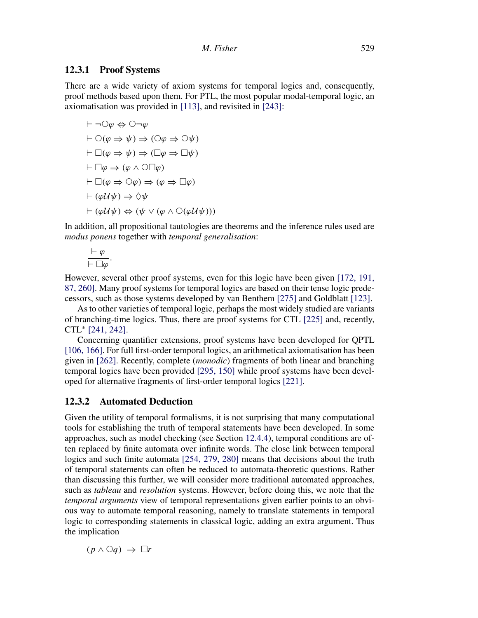#### 12.3.1 Proof Systems

There are a wide variety of axiom systems for temporal logics and, consequently, proof methods based upon them. For PTL, the most popular modal-temporal logic, an axiomatisation was provided in [113], and revisited in [243]:

$$
\vdash \neg \bigcirc \varphi \Leftrightarrow \bigcirc \neg \varphi
$$
\n
$$
\vdash \bigcirc (\varphi \Rightarrow \psi) \Rightarrow (\bigcirc \varphi \Rightarrow \bigcirc \psi)
$$
\n
$$
\vdash \Box(\varphi \Rightarrow \psi) \Rightarrow (\Box \varphi \Rightarrow \Box \psi)
$$
\n
$$
\vdash \Box \varphi \Rightarrow (\varphi \land \bigcirc \Box \varphi)
$$
\n
$$
\vdash \Box(\varphi \Rightarrow \bigcirc \varphi) \Rightarrow (\varphi \Rightarrow \Box \varphi)
$$
\n
$$
\vdash (\varphi \mathcal{U}\psi) \Rightarrow \Diamond \psi
$$
\n
$$
\vdash (\varphi \mathcal{U}\psi) \Leftrightarrow (\psi \lor (\varphi \land \bigcirc (\varphi \mathcal{U}\psi)))
$$

In addition, all propositional tautologies are theorems and the inference rules used are modus ponens together with temporal generalisation:

$$
\frac{\vdash \varphi}{\vdash \Box \varphi}.
$$

However, several other proof systems, even for this logic have been given [172, 191, 87, 260]. Many proof systems for temporal logics are based on their tense logic predecessors, such as those systems developed by van Benthem [275] and Goldblatt [123].

As to other varieties of temporal logic, perhaps the most widely studied are variants of branching-time logics. Thus, there are proof systems for CTL [225] and, recently, CTL<sup>∗</sup> [241, 242].

Concerning quantifier extensions, proof systems have been developed for QPTL [106, 166]. For full first-order temporal logics, an arithmetical axiomatisation has been given in [262]. Recently, complete (monodic) fragments of both linear and branching temporal logics have been provided [295, 150] while proof systems have been developed for alternative fragments of first-order temporal logics [221].

#### 12.3.2 Automated Deduction

Given the utility of temporal formalisms, it is not surprising that many computational tools for establishing the truth of temporal statements have been developed. In some approaches, such as model checking (see Section 12.4.4), temporal conditions are often replaced by finite automata over infinite words. The close link between temporal logics and such finite automata [254, 279, 280] means that decisions about the truth of temporal statements can often be reduced to automata-theoretic questions. Rather than discussing this further, we will consider more traditional automated approaches, such as *tableau* and *resolution* systems. However, before doing this, we note that the temporal arguments view of temporal representations given earlier points to an obvious way to automate temporal reasoning, namely to translate statements in temporal logic to corresponding statements in classical logic, adding an extra argument. Thus the implication

 $(p \land \bigcirc q) \Rightarrow \Box r$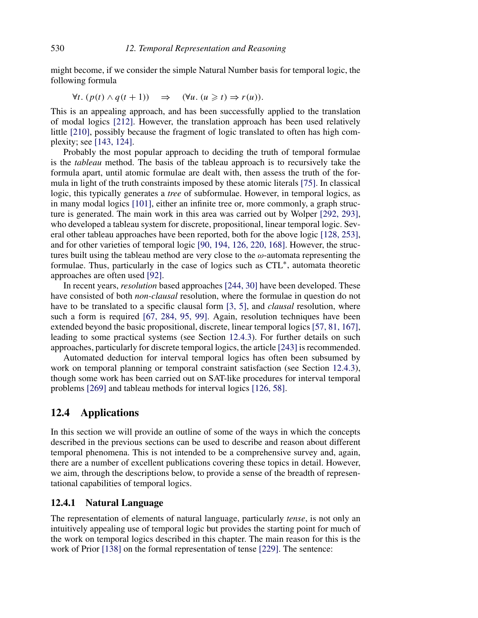might become, if we consider the simple Natural Number basis for temporal logic, the following formula

$$
\forall t. (p(t) \land q(t+1)) \Rightarrow (\forall u. (u \geq t) \Rightarrow r(u)).
$$

This is an appealing approach, and has been successfully applied to the translation of modal logics [212]. However, the translation approach has been used relatively little [210], possibly because the fragment of logic translated to often has high complexity; see [143, 124].

Probably the most popular approach to deciding the truth of temporal formulae is the tableau method. The basis of the tableau approach is to recursively take the formula apart, until atomic formulae are dealt with, then assess the truth of the formula in light of the truth constraints imposed by these atomic literals [75]. In classical logic, this typically generates a *tree* of subformulae. However, in temporal logics, as in many modal logics [101], either an infinite tree or, more commonly, a graph structure is generated. The main work in this area was carried out by Wolper [292, 293], who developed a tableau system for discrete, propositional, linear temporal logic. Several other tableau approaches have been reported, both for the above logic [128, 253], and for other varieties of temporal logic [90, 194, 126, 220, 168]. However, the structures built using the tableau method are very close to the  $\omega$ -automata representing the formulae. Thus, particularly in the case of logics such as CTL∗, automata theoretic approaches are often used [92].

In recent years, resolution based approaches [244, 30] have been developed. These have consisted of both *non-clausal* resolution, where the formulae in question do not have to be translated to a specific clausal form [3, 5], and *clausal* resolution, where such a form is required [67, 284, 95, 99]. Again, resolution techniques have been extended beyond the basic propositional, discrete, linear temporal logics [57, 81, 167], leading to some practical systems (see Section 12.4.3). For further details on such approaches, particularly for discrete temporal logics, the article [243] is recommended.

Automated deduction for interval temporal logics has often been subsumed by work on temporal planning or temporal constraint satisfaction (see Section 12.4.3), though some work has been carried out on SAT-like procedures for interval temporal problems [269] and tableau methods for interval logics [126, 58].

# 12.4 Applications

In this section we will provide an outline of some of the ways in which the concepts described in the previous sections can be used to describe and reason about different temporal phenomena. This is not intended to be a comprehensive survey and, again, there are a number of excellent publications covering these topics in detail. However, we aim, through the descriptions below, to provide a sense of the breadth of representational capabilities of temporal logics.

#### 12.4.1 Natural Language

The representation of elements of natural language, particularly *tense*, is not only an intuitively appealing use of temporal logic but provides the starting point for much of the work on temporal logics described in this chapter. The main reason for this is the work of Prior [138] on the formal representation of tense [229]. The sentence: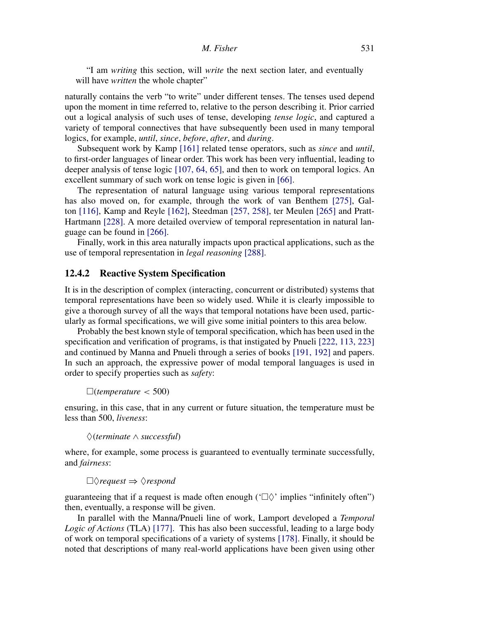"I am writing this section, will write the next section later, and eventually will have *written* the whole chapter"

naturally contains the verb "to write" under different tenses. The tenses used depend upon the moment in time referred to, relative to the person describing it. Prior carried out a logical analysis of such uses of tense, developing tense logic, and captured a variety of temporal connectives that have subsequently been used in many temporal logics, for example, *until*, *since*, *before*, *after*, and *during*.

Subsequent work by Kamp [161] related tense operators, such as since and until, to first-order languages of linear order. This work has been very influential, leading to deeper analysis of tense logic [107, 64, 65], and then to work on temporal logics. An excellent summary of such work on tense logic is given in [66].

The representation of natural language using various temporal representations has also moved on, for example, through the work of van Benthem [275], Galton [116], Kamp and Reyle [162], Steedman [257, 258], ter Meulen [265] and Pratt-Hartmann [228]. A more detailed overview of temporal representation in natural language can be found in [266].

Finally, work in this area naturally impacts upon practical applications, such as the use of temporal representation in legal reasoning [288].

#### 12.4.2 Reactive System Specification

It is in the description of complex (interacting, concurrent or distributed) systems that temporal representations have been so widely used. While it is clearly impossible to give a thorough survey of all the ways that temporal notations have been used, particularly as formal specifications, we will give some initial pointers to this area below.

Probably the best known style of temporal specification, which has been used in the specification and verification of programs, is that instigated by Pnueli [222, 113, 223] and continued by Manna and Pnueli through a series of books [191, 192] and papers. In such an approach, the expressive power of modal temporal languages is used in order to specify properties such as safety:

 $\Box$ (temperature < 500)

ensuring, in this case, that in any current or future situation, the temperature must be less than 500, liveness:

♦(terminate ∧ successful)

where, for example, some process is guaranteed to eventually terminate successfully, and fairness:

```
\Box \Diamond request \Rightarrow \Diamond respond
```
guaranteeing that if a request is made often enough ( $\Box \Diamond$  implies "infinitely often") then, eventually, a response will be given.

In parallel with the Manna/Pnueli line of work, Lamport developed a Temporal Logic of Actions (TLA) [177]. This has also been successful, leading to a large body of work on temporal specifications of a variety of systems [178]. Finally, it should be noted that descriptions of many real-world applications have been given using other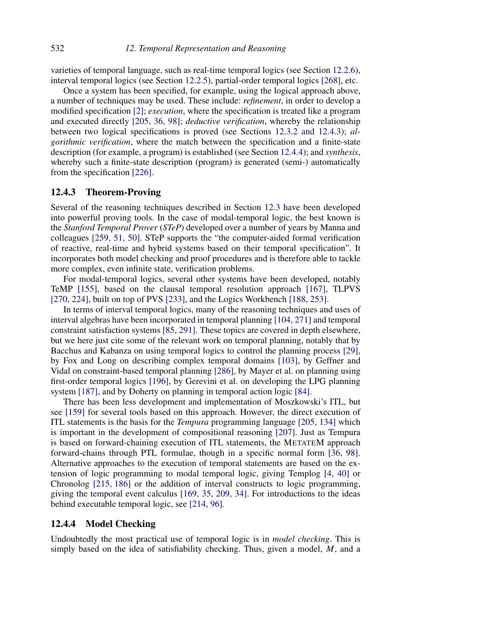varieties of temporal language, such as real-time temporal logics (see Section 12.2.6), interval temporal logics (see Section 12.2.5), partial-order temporal logics [268], etc.

Once a system has been specified, for example, using the logical approach above, a number of techniques may be used. These include: refinement, in order to develop a modified specification [2]; execution, where the specification is treated like a program and executed directly [205, 36, 98]; deductive verification, whereby the relationship between two logical specifications is proved (see Sections 12.3.2 and 12.4.3); algorithmic verification, where the match between the specification and a finite-state description (for example, a program) is established (see Section 12.4.4); and synthesis, whereby such a finite-state description (program) is generated (semi-) automatically from the specification [226].

#### 12.4.3 Theorem-Proving

Several of the reasoning techniques described in Section 12.3 have been developed into powerful proving tools. In the case of modal-temporal logic, the best known is the Stanford Temporal Prover (STeP) developed over a number of years by Manna and colleagues [259, 51, 50]. STeP supports the "the computer-aided formal verification of reactive, real-time and hybrid systems based on their temporal specification". It incorporates both model checking and proof procedures and is therefore able to tackle more complex, even infinite state, verification problems.

For modal-temporal logics, several other systems have been developed, notably TeMP [155], based on the clausal temporal resolution approach [167], TLPVS [270, 224], built on top of PVS [233], and the Logics Workbench [188, 253].

In terms of interval temporal logics, many of the reasoning techniques and uses of interval algebras have been incorporated in temporal planning [104, 271] and temporal constraint satisfaction systems [85, 291]. These topics are covered in depth elsewhere, but we here just cite some of the relevant work on temporal planning, notably that by Bacchus and Kabanza on using temporal logics to control the planning process [29], by Fox and Long on describing complex temporal domains [103], by Geffner and Vidal on constraint-based temporal planning [286], by Mayer et al. on planning using first-order temporal logics [196], by Gerevini et al. on developing the LPG planning system [187], and by Doherty on planning in temporal action logic [84].

There has been less development and implementation of Moszkowski's ITL, but see [159] for several tools based on this approach. However, the direct execution of ITL statements is the basis for the *Tempura* programming language [205, 134] which is important in the development of compositional reasoning [207]. Just as Tempura is based on forward-chaining execution of ITL statements, the METATEM approach forward-chains through PTL formulae, though in a specific normal form [36, 98]. Alternative approaches to the execution of temporal statements are based on the extension of logic programming to modal temporal logic, giving Templog [4, 40] or Chronolog [215, 186] or the addition of interval constructs to logic programming, giving the temporal event calculus [169, 35, 209, 34]. For introductions to the ideas behind executable temporal logic, see [214, 96].

# 12.4.4 Model Checking

Undoubtedly the most practical use of temporal logic is in *model checking*. This is simply based on the idea of satisfiability checking. Thus, given a model,  $M$ , and a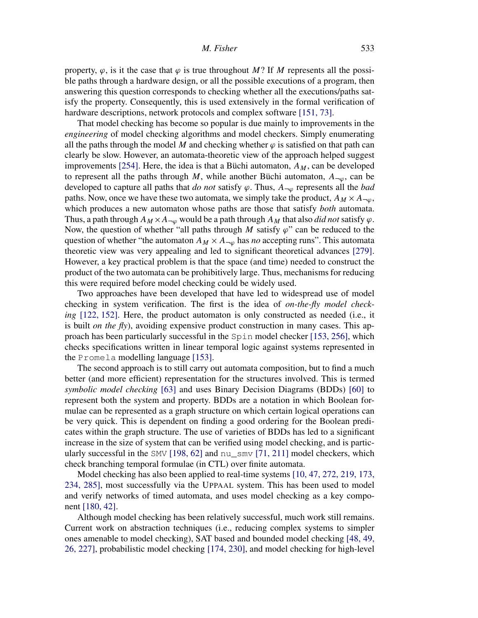property,  $\varphi$ , is it the case that  $\varphi$  is true throughout M? If M represents all the possible paths through a hardware design, or all the possible executions of a program, then answering this question corresponds to checking whether all the executions/paths satisfy the property. Consequently, this is used extensively in the formal verification of hardware descriptions, network protocols and complex software [151, 73].

That model checking has become so popular is due mainly to improvements in the engineering of model checking algorithms and model checkers. Simply enumerating all the paths through the model M and checking whether  $\varphi$  is satisfied on that path can clearly be slow. However, an automata-theoretic view of the approach helped suggest improvements [254]. Here, the idea is that a Büchi automaton,  $A_M$ , can be developed to represent all the paths through M, while another Büchi automaton,  $A_{\neg\varphi}$ , can be developed to capture all paths that do not satisfy  $\varphi$ . Thus,  $A_{\neg\varphi}$  represents all the bad paths. Now, once we have these two automata, we simply take the product,  $A_M \times A_{\neg\omega}$ , which produces a new automaton whose paths are those that satisfy *both* automata. Thus, a path through  $A_M \times A_{\neg \varphi}$  would be a path through  $A_M$  that also *did not* satisfy  $\varphi$ . Now, the question of whether "all paths through M satisfy  $\varphi$ " can be reduced to the question of whether "the automaton  $A_M \times A_{-\varphi}$  has no accepting runs". This automata theoretic view was very appealing and led to significant theoretical advances [279]. However, a key practical problem is that the space (and time) needed to construct the product of the two automata can be prohibitively large. Thus, mechanisms for reducing this were required before model checking could be widely used.

Two approaches have been developed that have led to widespread use of model checking in system verification. The first is the idea of *on-the-fly model check*ing [122, 152]. Here, the product automaton is only constructed as needed (i.e., it is built *on the fly*), avoiding expensive product construction in many cases. This approach has been particularly successful in the Spin model checker [153, 256], which checks specifications written in linear temporal logic against systems represented in the Promela modelling language [153].

The second approach is to still carry out automata composition, but to find a much better (and more efficient) representation for the structures involved. This is termed symbolic model checking [63] and uses Binary Decision Diagrams (BDDs) [60] to represent both the system and property. BDDs are a notation in which Boolean formulae can be represented as a graph structure on which certain logical operations can be very quick. This is dependent on finding a good ordering for the Boolean predicates within the graph structure. The use of varieties of BDDs has led to a significant increase in the size of system that can be verified using model checking, and is particularly successful in the SMV [198, 62] and nu\_smv [71, 211] model checkers, which check branching temporal formulae (in CTL) over finite automata.

Model checking has also been applied to real-time systems [10, 47, 272, 219, 173, 234, 285], most successfully via the UPPAAL system. This has been used to model and verify networks of timed automata, and uses model checking as a key component [180, 42].

Although model checking has been relatively successful, much work still remains. Current work on abstraction techniques (i.e., reducing complex systems to simpler ones amenable to model checking), SAT based and bounded model checking [48, 49, 26, 227], probabilistic model checking [174, 230], and model checking for high-level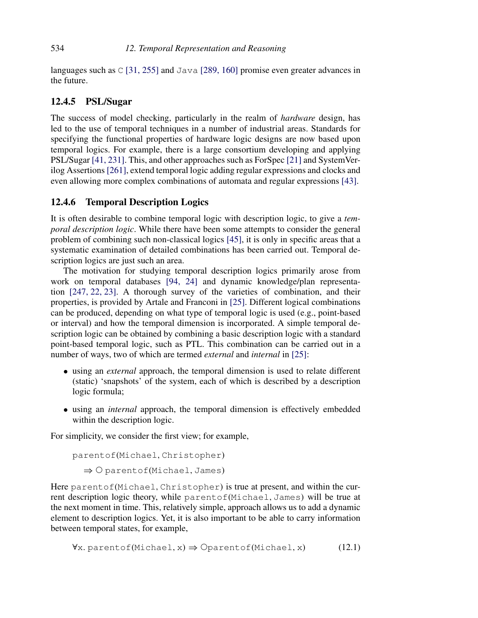languages such as  $\text{C}$  [31, 255] and Java [289, 160] promise even greater advances in the future.

#### 12.4.5 PSL/Sugar

The success of model checking, particularly in the realm of *hardware* design, has led to the use of temporal techniques in a number of industrial areas. Standards for specifying the functional properties of hardware logic designs are now based upon temporal logics. For example, there is a large consortium developing and applying PSL/Sugar [41, 231]. This, and other approaches such as ForSpec [21] and SystemVerilog Assertions [261], extend temporal logic adding regular expressions and clocks and even allowing more complex combinations of automata and regular expressions [43].

# 12.4.6 Temporal Description Logics

It is often desirable to combine temporal logic with description logic, to give a temporal description logic. While there have been some attempts to consider the general problem of combining such non-classical logics [45], it is only in specific areas that a systematic examination of detailed combinations has been carried out. Temporal description logics are just such an area.

The motivation for studying temporal description logics primarily arose from work on temporal databases [94, 24] and dynamic knowledge/plan representation [247, 22, 23]. A thorough survey of the varieties of combination, and their properties, is provided by Artale and Franconi in [25]. Different logical combinations can be produced, depending on what type of temporal logic is used (e.g., point-based or interval) and how the temporal dimension is incorporated. A simple temporal description logic can be obtained by combining a basic description logic with a standard point-based temporal logic, such as PTL. This combination can be carried out in a number of ways, two of which are termed *external* and *internal* in [25]:

- using an *external* approach, the temporal dimension is used to relate different (static) 'snapshots' of the system, each of which is described by a description logic formula;
- using an internal approach, the temporal dimension is effectively embedded within the description logic.

For simplicity, we consider the first view; for example,

```
parentof(Michael, Christopher)
\Rightarrow O parentof(Michael, James)
```
Here parentof(Michael, Christopher) is true at present, and within the current description logic theory, while parentof(Michael, James) will be true at the next moment in time. This, relatively simple, approach allows us to add a dynamic element to description logics. Yet, it is also important to be able to carry information between temporal states, for example,

$$
\forall x. \text{parentof}(\text{Michael}, x) \Rightarrow \text{Operator}(\text{Michael}, x) \tag{12.1}
$$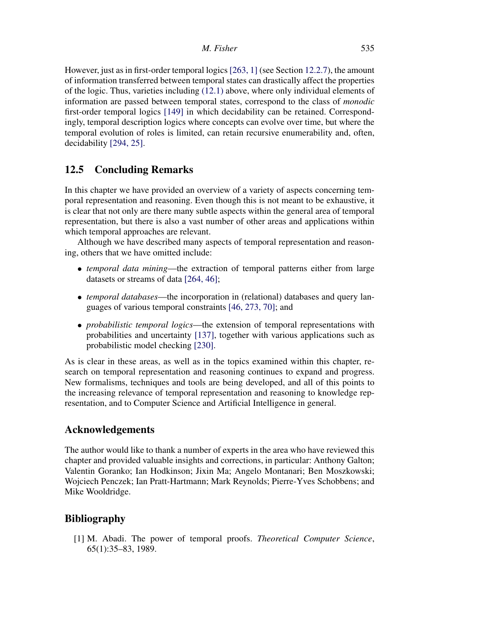However, just as in first-order temporal logics[263, 1] (see Section 12.2.7), the amount of information transferred between temporal states can drastically affect the properties of the logic. Thus, varieties including (12.1) above, where only individual elements of information are passed between temporal states, correspond to the class of monodic first-order temporal logics [149] in which decidability can be retained. Correspondingly, temporal description logics where concepts can evolve over time, but where the temporal evolution of roles is limited, can retain recursive enumerability and, often, decidability [294, 25].

# 12.5 Concluding Remarks

In this chapter we have provided an overview of a variety of aspects concerning temporal representation and reasoning. Even though this is not meant to be exhaustive, it is clear that not only are there many subtle aspects within the general area of temporal representation, but there is also a vast number of other areas and applications within which temporal approaches are relevant.

Although we have described many aspects of temporal representation and reasoning, others that we have omitted include:

- *temporal data mining*—the extraction of temporal patterns either from large datasets or streams of data [264, 46];
- *temporal databases*—the incorporation in (relational) databases and query languages of various temporal constraints [46, 273, 70]; and
- *probabilistic temporal logics*—the extension of temporal representations with probabilities and uncertainty [137], together with various applications such as probabilistic model checking [230].

As is clear in these areas, as well as in the topics examined within this chapter, research on temporal representation and reasoning continues to expand and progress. New formalisms, techniques and tools are being developed, and all of this points to the increasing relevance of temporal representation and reasoning to knowledge representation, and to Computer Science and Artificial Intelligence in general.

# Acknowledgements

The author would like to thank a number of experts in the area who have reviewed this chapter and provided valuable insights and corrections, in particular: Anthony Galton; Valentin Goranko; Ian Hodkinson; Jixin Ma; Angelo Montanari; Ben Moszkowski; Wojciech Penczek; Ian Pratt-Hartmann; Mark Reynolds; Pierre-Yves Schobbens; and Mike Wooldridge.

# Bibliography

[1] M. Abadi. The power of temporal proofs. Theoretical Computer Science, 65(1):35–83, 1989.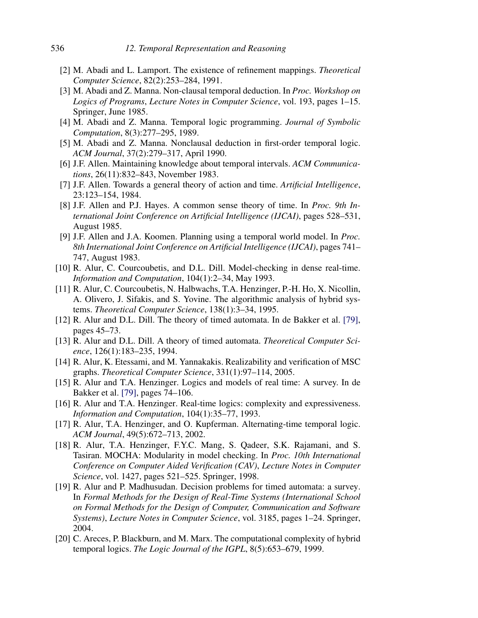- [2] M. Abadi and L. Lamport. The existence of refinement mappings. Theoretical Computer Science, 82(2):253–284, 1991.
- [3] M. Abadi and Z. Manna. Non-clausal temporal deduction. In Proc. Workshop on Logics of Programs, Lecture Notes in Computer Science, vol. 193, pages 1–15. Springer, June 1985.
- [4] M. Abadi and Z. Manna. Temporal logic programming. Journal of Symbolic Computation, 8(3):277–295, 1989.
- [5] M. Abadi and Z. Manna. Nonclausal deduction in first-order temporal logic. ACM Journal, 37(2):279–317, April 1990.
- [6] J.F. Allen. Maintaining knowledge about temporal intervals. ACM Communications, 26(11):832–843, November 1983.
- [7] J.F. Allen. Towards a general theory of action and time. Artificial Intelligence, 23:123–154, 1984.
- [8] J.F. Allen and P.J. Hayes. A common sense theory of time. In Proc. 9th International Joint Conference on Artificial Intelligence (IJCAI), pages 528–531, August 1985.
- [9] J.F. Allen and J.A. Koomen. Planning using a temporal world model. In Proc. 8th International Joint Conference on Artificial Intelligence (IJCAI), pages 741– 747, August 1983.
- [10] R. Alur, C. Courcoubetis, and D.L. Dill. Model-checking in dense real-time. Information and Computation, 104(1):2–34, May 1993.
- [11] R. Alur, C. Courcoubetis, N. Halbwachs, T.A. Henzinger, P.-H. Ho, X. Nicollin, A. Olivero, J. Sifakis, and S. Yovine. The algorithmic analysis of hybrid systems. Theoretical Computer Science, 138(1):3–34, 1995.
- [12] R. Alur and D.L. Dill. The theory of timed automata. In de Bakker et al. [79], pages 45–73.
- [13] R. Alur and D.L. Dill. A theory of timed automata. Theoretical Computer Science, 126(1):183–235, 1994.
- [14] R. Alur, K. Etessami, and M. Yannakakis. Realizability and verification of MSC graphs. Theoretical Computer Science, 331(1):97–114, 2005.
- [15] R. Alur and T.A. Henzinger. Logics and models of real time: A survey. In de Bakker et al. [79], pages 74–106.
- [16] R. Alur and T.A. Henzinger. Real-time logics: complexity and expressiveness. Information and Computation, 104(1):35–77, 1993.
- [17] R. Alur, T.A. Henzinger, and O. Kupferman. Alternating-time temporal logic. ACM Journal, 49(5):672–713, 2002.
- [18] R. Alur, T.A. Henzinger, F.Y.C. Mang, S. Qadeer, S.K. Rajamani, and S. Tasiran. MOCHA: Modularity in model checking. In Proc. 10th International Conference on Computer Aided Verification (CAV), Lecture Notes in Computer Science, vol. 1427, pages 521–525. Springer, 1998.
- [19] R. Alur and P. Madhusudan. Decision problems for timed automata: a survey. In Formal Methods for the Design of Real-Time Systems (International School on Formal Methods for the Design of Computer, Communication and Software Systems), Lecture Notes in Computer Science, vol. 3185, pages 1–24. Springer, 2004.
- [20] C. Areces, P. Blackburn, and M. Marx. The computational complexity of hybrid temporal logics. The Logic Journal of the IGPL, 8(5):653–679, 1999.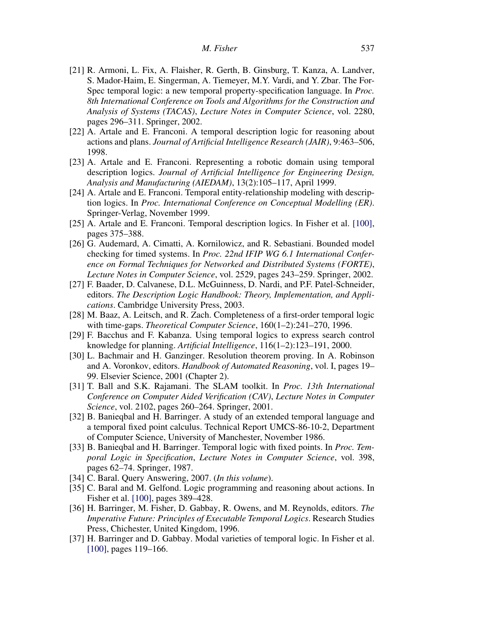- [21] R. Armoni, L. Fix, A. Flaisher, R. Gerth, B. Ginsburg, T. Kanza, A. Landver, S. Mador-Haim, E. Singerman, A. Tiemeyer, M.Y. Vardi, and Y. Zbar. The For-Spec temporal logic: a new temporal property-specification language. In *Proc.* 8th International Conference on Tools and Algorithms for the Construction and Analysis of Systems (TACAS), Lecture Notes in Computer Science, vol. 2280, pages 296–311. Springer, 2002.
- [22] A. Artale and E. Franconi. A temporal description logic for reasoning about actions and plans. Journal of Artificial Intelligence Research (JAIR), 9:463–506, 1998.
- [23] A. Artale and E. Franconi. Representing a robotic domain using temporal description logics. Journal of Artificial Intelligence for Engineering Design, Analysis and Manufacturing (AIEDAM), 13(2):105–117, April 1999.
- [24] A. Artale and E. Franconi. Temporal entity-relationship modeling with description logics. In Proc. International Conference on Conceptual Modelling (ER). Springer-Verlag, November 1999.
- [25] A. Artale and E. Franconi. Temporal description logics. In Fisher et al. [100], pages 375–388.
- [26] G. Audemard, A. Cimatti, A. Kornilowicz, and R. Sebastiani. Bounded model checking for timed systems. In Proc. 22nd IFIP WG 6.1 International Conference on Formal Techniques for Networked and Distributed Systems (FORTE), Lecture Notes in Computer Science, vol. 2529, pages 243–259. Springer, 2002.
- [27] F. Baader, D. Calvanese, D.L. McGuinness, D. Nardi, and P.F. Patel-Schneider, editors. The Description Logic Handbook: Theory, Implementation, and Applications. Cambridge University Press, 2003.
- [28] M. Baaz, A. Leitsch, and R. Zach. Completeness of a first-order temporal logic with time-gaps. Theoretical Computer Science, 160(1–2):241–270, 1996.
- [29] F. Bacchus and F. Kabanza. Using temporal logics to express search control knowledge for planning. Artificial Intelligence, 116(1–2):123–191, 2000.
- [30] L. Bachmair and H. Ganzinger. Resolution theorem proving. In A. Robinson and A. Voronkov, editors. Handbook of Automated Reasoning, vol. I, pages 19– 99. Elsevier Science, 2001 (Chapter 2).
- [31] T. Ball and S.K. Rajamani. The SLAM toolkit. In Proc. 13th International Conference on Computer Aided Verification (CAV), Lecture Notes in Computer Science, vol. 2102, pages 260–264. Springer, 2001.
- [32] B. Banieqbal and H. Barringer. A study of an extended temporal language and a temporal fixed point calculus. Technical Report UMCS-86-10-2, Department of Computer Science, University of Manchester, November 1986.
- [33] B. Banieqbal and H. Barringer. Temporal logic with fixed points. In *Proc. Tem*poral Logic in Specification, Lecture Notes in Computer Science, vol. 398, pages 62–74. Springer, 1987.
- [34] C. Baral. Query Answering, 2007. (In this volume).
- [35] C. Baral and M. Gelfond. Logic programming and reasoning about actions. In Fisher et al. [100], pages 389–428.
- [36] H. Barringer, M. Fisher, D. Gabbay, R. Owens, and M. Reynolds, editors. The Imperative Future: Principles of Executable Temporal Logics. Research Studies Press, Chichester, United Kingdom, 1996.
- [37] H. Barringer and D. Gabbay. Modal varieties of temporal logic. In Fisher et al. [100], pages 119–166.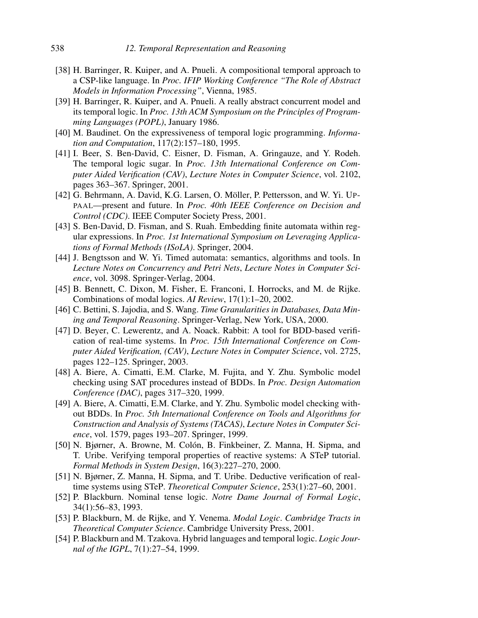- [38] H. Barringer, R. Kuiper, and A. Pnueli. A compositional temporal approach to a CSP-like language. In Proc. IFIP Working Conference "The Role of Abstract Models in Information Processing", Vienna, 1985.
- [39] H. Barringer, R. Kuiper, and A. Pnueli. A really abstract concurrent model and its temporal logic. In Proc. 13th ACM Symposium on the Principles of Programming Languages (POPL), January 1986.
- [40] M. Baudinet. On the expressiveness of temporal logic programming. Information and Computation, 117(2):157–180, 1995.
- [41] I. Beer, S. Ben-David, C. Eisner, D. Fisman, A. Gringauze, and Y. Rodeh. The temporal logic sugar. In Proc. 13th International Conference on Computer Aided Verification (CAV), Lecture Notes in Computer Science, vol. 2102, pages 363–367. Springer, 2001.
- [42] G. Behrmann, A. David, K.G. Larsen, O. Möller, P. Pettersson, and W. Yi. UP-PAAL—present and future. In Proc. 40th IEEE Conference on Decision and Control (CDC). IEEE Computer Society Press, 2001.
- [43] S. Ben-David, D. Fisman, and S. Ruah. Embedding finite automata within regular expressions. In Proc. 1st International Symposium on Leveraging Applications of Formal Methods (ISoLA). Springer, 2004.
- [44] J. Bengtsson and W. Yi. Timed automata: semantics, algorithms and tools. In Lecture Notes on Concurrency and Petri Nets, Lecture Notes in Computer Science, vol. 3098. Springer-Verlag, 2004.
- [45] B. Bennett, C. Dixon, M. Fisher, E. Franconi, I. Horrocks, and M. de Rijke. Combinations of modal logics. AI Review, 17(1):1–20, 2002.
- [46] C. Bettini, S. Jajodia, and S. Wang. Time Granularities in Databases, Data Mining and Temporal Reasoning. Springer-Verlag, New York, USA, 2000.
- [47] D. Beyer, C. Lewerentz, and A. Noack. Rabbit: A tool for BDD-based verification of real-time systems. In Proc. 15th International Conference on Computer Aided Verification, (CAV), Lecture Notes in Computer Science, vol. 2725, pages 122–125. Springer, 2003.
- [48] A. Biere, A. Cimatti, E.M. Clarke, M. Fujita, and Y. Zhu. Symbolic model checking using SAT procedures instead of BDDs. In Proc. Design Automation Conference (DAC), pages 317–320, 1999.
- [49] A. Biere, A. Cimatti, E.M. Clarke, and Y. Zhu. Symbolic model checking without BDDs. In Proc. 5th International Conference on Tools and Algorithms for Construction and Analysis of Systems (TACAS), Lecture Notes in Computer Science, vol. 1579, pages 193–207. Springer, 1999.
- [50] N. Bjørner, A. Browne, M. Colón, B. Finkbeiner, Z. Manna, H. Sipma, and T. Uribe. Verifying temporal properties of reactive systems: A STeP tutorial. Formal Methods in System Design, 16(3):227–270, 2000.
- [51] N. Bjørner, Z. Manna, H. Sipma, and T. Uribe. Deductive verification of realtime systems using STeP. Theoretical Computer Science, 253(1):27–60, 2001.
- [52] P. Blackburn. Nominal tense logic. Notre Dame Journal of Formal Logic, 34(1):56–83, 1993.
- [53] P. Blackburn, M. de Rijke, and Y. Venema. Modal Logic. Cambridge Tracts in Theoretical Computer Science. Cambridge University Press, 2001.
- [54] P. Blackburn and M. Tzakova. Hybrid languages and temporal logic. Logic Journal of the IGPL, 7(1):27–54, 1999.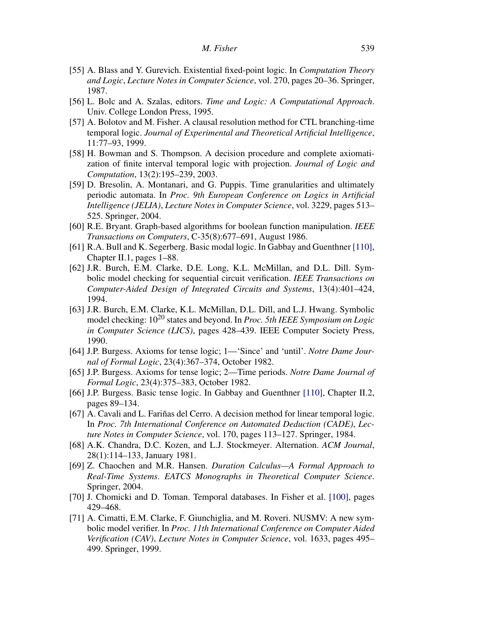- [55] A. Blass and Y. Gurevich. Existential fixed-point logic. In Computation Theory and Logic, Lecture Notes in Computer Science, vol. 270, pages 20–36. Springer, 1987.
- [56] L. Bolc and A. Szalas, editors. Time and Logic: A Computational Approach. Univ. College London Press, 1995.
- [57] A. Bolotov and M. Fisher. A clausal resolution method for CTL branching-time temporal logic. Journal of Experimental and Theoretical Artificial Intelligence, 11:77–93, 1999.
- [58] H. Bowman and S. Thompson. A decision procedure and complete axiomatization of finite interval temporal logic with projection. Journal of Logic and Computation, 13(2):195–239, 2003.
- [59] D. Bresolin, A. Montanari, and G. Puppis. Time granularities and ultimately periodic automata. In Proc. 9th European Conference on Logics in Artificial Intelligence (JELIA), Lecture Notes in Computer Science, vol. 3229, pages 513– 525. Springer, 2004.
- [60] R.E. Bryant. Graph-based algorithms for boolean function manipulation. IEEE Transactions on Computers, C-35(8):677–691, August 1986.
- [61] R.A. Bull and K. Segerberg. Basic modal logic. In Gabbay and Guenthner [110], Chapter II.1, pages 1–88.
- [62] J.R. Burch, E.M. Clarke, D.E. Long, K.L. McMillan, and D.L. Dill. Symbolic model checking for sequential circuit verification. IEEE Transactions on Computer-Aided Design of Integrated Circuits and Systems, 13(4):401–424, 1994.
- [63] J.R. Burch, E.M. Clarke, K.L. McMillan, D.L. Dill, and L.J. Hwang. Symbolic model checking:  $10^{20}$  states and beyond. In *Proc. 5th IEEE Symposium on Logic* in Computer Science (LICS), pages 428–439. IEEE Computer Society Press, 1990.
- [64] J.P. Burgess. Axioms for tense logic; 1—'Since' and 'until'. Notre Dame Journal of Formal Logic, 23(4):367–374, October 1982.
- [65] J.P. Burgess. Axioms for tense logic; 2—Time periods. Notre Dame Journal of Formal Logic, 23(4):375–383, October 1982.
- [66] J.P. Burgess. Basic tense logic. In Gabbay and Guenthner [110], Chapter II.2, pages 89–134.
- [67] A. Cavali and L. Fariñas del Cerro. A decision method for linear temporal logic. In Proc. 7th International Conference on Automated Deduction (CADE), Lecture Notes in Computer Science, vol. 170, pages 113–127. Springer, 1984.
- [68] A.K. Chandra, D.C. Kozen, and L.J. Stockmeyer. Alternation. ACM Journal, 28(1):114–133, January 1981.
- [69] Z. Chaochen and M.R. Hansen. Duration Calculus—A Formal Approach to Real-Time Systems. EATCS Monographs in Theoretical Computer Science. Springer, 2004.
- [70] J. Chomicki and D. Toman. Temporal databases. In Fisher et al. [100], pages 429–468.
- [71] A. Cimatti, E.M. Clarke, F. Giunchiglia, and M. Roveri. NUSMV: A new symbolic model verifier. In Proc. 11th International Conference on Computer Aided Verification (CAV), Lecture Notes in Computer Science, vol. 1633, pages 495– 499. Springer, 1999.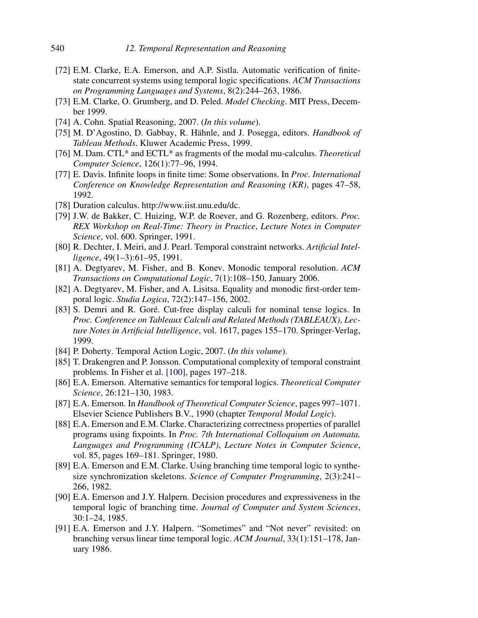- [72] E.M. Clarke, E.A. Emerson, and A.P. Sistla. Automatic verification of finitestate concurrent systems using temporal logic specifications. ACM Transactions on Programming Languages and Systems, 8(2):244–263, 1986.
- [73] E.M. Clarke, O. Grumberg, and D. Peled. Model Checking. MIT Press, December 1999.
- [74] A. Cohn. Spatial Reasoning, 2007. (In this volume).
- [75] M. D'Agostino, D. Gabbay, R. Hähnle, and J. Posegga, editors. Handbook of Tableau Methods. Kluwer Academic Press, 1999.
- [76] M. Dam. CTL\* and ECTL\* as fragments of the modal mu-calculus. Theoretical Computer Science, 126(1):77–96, 1994.
- [77] E. Davis. Infinite loops in finite time: Some observations. In Proc. International Conference on Knowledge Representation and Reasoning (KR), pages 47–58, 1992.
- [78] Duration calculus. http://www.iist.unu.edu/dc.
- [79] J.W. de Bakker, C. Huizing, W.P. de Roever, and G. Rozenberg, editors. Proc. REX Workshop on Real-Time: Theory in Practice, Lecture Notes in Computer Science, vol. 600. Springer, 1991.
- [80] R. Dechter, I. Meiri, and J. Pearl. Temporal constraint networks. Artificial Intelligence, 49(1–3):61–95, 1991.
- [81] A. Degtyarev, M. Fisher, and B. Konev. Monodic temporal resolution. ACM Transactions on Computational Logic, 7(1):108–150, January 2006.
- [82] A. Degtyarev, M. Fisher, and A. Lisitsa. Equality and monodic first-order temporal logic. Studia Logica, 72(2):147–156, 2002.
- [83] S. Demri and R. Goré. Cut-free display calculi for nominal tense logics. In Proc. Conference on Tableaux Calculi and Related Methods (TABLEAUX), Lecture Notes in Artificial Intelligence, vol. 1617, pages 155–170. Springer-Verlag, 1999.
- [84] P. Doherty. Temporal Action Logic, 2007. (In this volume).
- [85] T. Drakengren and P. Jonsson. Computational complexity of temporal constraint problems. In Fisher et al. [100], pages 197–218.
- [86] E.A. Emerson. Alternative semantics for temporal logics. Theoretical Computer Science, 26:121–130, 1983.
- [87] E.A. Emerson. In Handbook of Theoretical Computer Science, pages 997–1071. Elsevier Science Publishers B.V., 1990 (chapter Temporal Modal Logic).
- [88] E.A. Emerson and E.M. Clarke. Characterizing correctness properties of parallel programs using fixpoints. In Proc. 7th International Colloquium on Automata, Languages and Programming (ICALP), Lecture Notes in Computer Science, vol. 85, pages 169–181. Springer, 1980.
- [89] E.A. Emerson and E.M. Clarke. Using branching time temporal logic to synthesize synchronization skeletons. Science of Computer Programming, 2(3):241– 266, 1982.
- [90] E.A. Emerson and J.Y. Halpern. Decision procedures and expressiveness in the temporal logic of branching time. Journal of Computer and System Sciences, 30:1–24, 1985.
- [91] E.A. Emerson and J.Y. Halpern. "Sometimes" and "Not never" revisited: on branching versus linear time temporal logic. ACM Journal, 33(1):151–178, January 1986.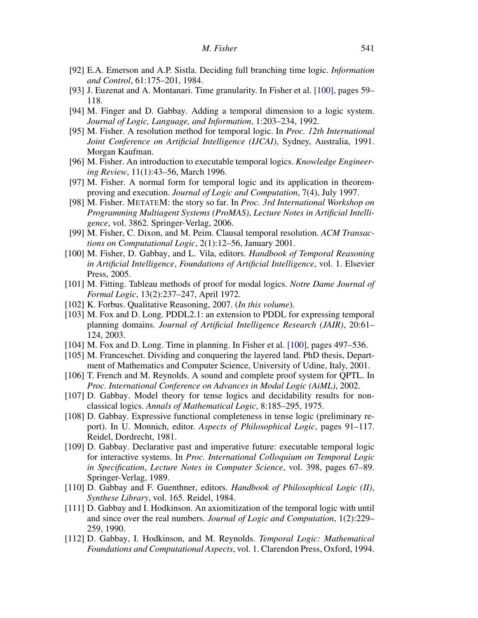- [92] E.A. Emerson and A.P. Sistla. Deciding full branching time logic. Information and Control, 61:175–201, 1984.
- [93] J. Euzenat and A. Montanari. Time granularity. In Fisher et al. [100], pages 59– 118.
- [94] M. Finger and D. Gabbay. Adding a temporal dimension to a logic system. Journal of Logic, Language, and Information, 1:203–234, 1992.
- [95] M. Fisher. A resolution method for temporal logic. In Proc. 12th International Joint Conference on Artificial Intelligence (IJCAI), Sydney, Australia, 1991. Morgan Kaufman.
- [96] M. Fisher. An introduction to executable temporal logics. *Knowledge Engineer*ing Review, 11(1):43–56, March 1996.
- [97] M. Fisher. A normal form for temporal logic and its application in theoremproving and execution. Journal of Logic and Computation, 7(4), July 1997.
- [98] M. Fisher. METATEM: the story so far. In Proc. 3rd International Workshop on Programming Multiagent Systems (ProMAS), Lecture Notes in Artificial Intelligence, vol. 3862. Springer-Verlag, 2006.
- [99] M. Fisher, C. Dixon, and M. Peim. Clausal temporal resolution. ACM Transactions on Computational Logic, 2(1):12–56, January 2001.
- [100] M. Fisher, D. Gabbay, and L. Vila, editors. Handbook of Temporal Reasoning in Artificial Intelligence, Foundations of Artificial Intelligence, vol. 1. Elsevier Press, 2005.
- [101] M. Fitting. Tableau methods of proof for modal logics. Notre Dame Journal of Formal Logic, 13(2):237–247, April 1972.
- [102] K. Forbus. Qualitative Reasoning, 2007. (In this volume).
- [103] M. Fox and D. Long. PDDL2.1: an extension to PDDL for expressing temporal planning domains. Journal of Artificial Intelligence Research (JAIR), 20:61– 124, 2003.
- [104] M. Fox and D. Long. Time in planning. In Fisher et al. [100], pages 497–536.
- [105] M. Franceschet. Dividing and conquering the layered land. PhD thesis, Department of Mathematics and Computer Science, University of Udine, Italy, 2001.
- [106] T. French and M. Reynolds. A sound and complete proof system for QPTL. In Proc. International Conference on Advances in Modal Logic (AiML), 2002.
- [107] D. Gabbay. Model theory for tense logics and decidability results for nonclassical logics. Annals of Mathematical Logic, 8:185–295, 1975.
- [108] D. Gabbay. Expressive functional completeness in tense logic (preliminary report). In U. Monnich, editor. Aspects of Philosophical Logic, pages 91–117. Reidel, Dordrecht, 1981.
- [109] D. Gabbay. Declarative past and imperative future: executable temporal logic for interactive systems. In Proc. International Colloquium on Temporal Logic in Specification, Lecture Notes in Computer Science, vol. 398, pages 67–89. Springer-Verlag, 1989.
- [110] D. Gabbay and F. Guenthner, editors. Handbook of Philosophical Logic (II), Synthese Library, vol. 165. Reidel, 1984.
- [111] D. Gabbay and I. Hodkinson. An axiomitization of the temporal logic with until and since over the real numbers. Journal of Logic and Computation, 1(2):229– 259, 1990.
- [112] D. Gabbay, I. Hodkinson, and M. Reynolds. Temporal Logic: Mathematical Foundations and Computational Aspects, vol. 1. Clarendon Press, Oxford, 1994.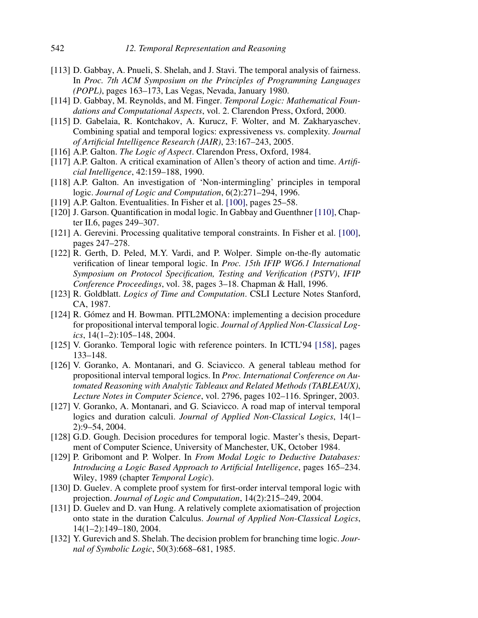- [113] D. Gabbay, A. Pnueli, S. Shelah, and J. Stavi. The temporal analysis of fairness. In Proc. 7th ACM Symposium on the Principles of Programming Languages (POPL), pages 163–173, Las Vegas, Nevada, January 1980.
- [114] D. Gabbay, M. Reynolds, and M. Finger. Temporal Logic: Mathematical Foundations and Computational Aspects, vol. 2. Clarendon Press, Oxford, 2000.
- [115] D. Gabelaia, R. Kontchakov, A. Kurucz, F. Wolter, and M. Zakharyaschev. Combining spatial and temporal logics: expressiveness vs. complexity. Journal of Artificial Intelligence Research (JAIR), 23:167–243, 2005.
- [116] A.P. Galton. *The Logic of Aspect*. Clarendon Press, Oxford, 1984.
- [117] A.P. Galton. A critical examination of Allen's theory of action and time. Artificial Intelligence, 42:159–188, 1990.
- [118] A.P. Galton. An investigation of 'Non-intermingling' principles in temporal logic. Journal of Logic and Computation, 6(2):271-294, 1996.
- [119] A.P. Galton. Eventualities. In Fisher et al. [100], pages 25–58.
- [120] J. Garson. Quantification in modal logic. In Gabbay and Guenthner [110], Chapter II.6, pages 249–307.
- [121] A. Gerevini. Processing qualitative temporal constraints. In Fisher et al. [100], pages 247–278.
- [122] R. Gerth, D. Peled, M.Y. Vardi, and P. Wolper. Simple on-the-fly automatic verification of linear temporal logic. In Proc. 15th IFIP WG6.1 International Symposium on Protocol Specification, Testing and Verification (PSTV), IFIP Conference Proceedings, vol. 38, pages 3–18. Chapman & Hall, 1996.
- [123] R. Goldblatt. *Logics of Time and Computation*. CSLI Lecture Notes Stanford, CA, 1987.
- [124] R. Gómez and H. Bowman. PITL2MONA: implementing a decision procedure for propositional interval temporal logic. Journal of Applied Non-Classical Logics, 14(1–2):105–148, 2004.
- [125] V. Goranko. Temporal logic with reference pointers. In ICTL'94 [158], pages 133–148.
- [126] V. Goranko, A. Montanari, and G. Sciavicco. A general tableau method for propositional interval temporal logics. In Proc. International Conference on Automated Reasoning with Analytic Tableaux and Related Methods (TABLEAUX), Lecture Notes in Computer Science, vol. 2796, pages 102–116. Springer, 2003.
- [127] V. Goranko, A. Montanari, and G. Sciavicco. A road map of interval temporal logics and duration calculi. Journal of Applied Non-Classical Logics, 14(1– 2):9–54, 2004.
- [128] G.D. Gough. Decision procedures for temporal logic. Master's thesis, Department of Computer Science, University of Manchester, UK, October 1984.
- [129] P. Gribomont and P. Wolper. In From Modal Logic to Deductive Databases: Introducing a Logic Based Approach to Artificial Intelligence, pages 165–234. Wiley, 1989 (chapter Temporal Logic).
- [130] D. Guelev. A complete proof system for first-order interval temporal logic with projection. Journal of Logic and Computation, 14(2):215–249, 2004.
- [131] D. Guelev and D. van Hung. A relatively complete axiomatisation of projection onto state in the duration Calculus. Journal of Applied Non-Classical Logics, 14(1–2):149–180, 2004.
- [132] Y. Gurevich and S. Shelah. The decision problem for branching time logic. Journal of Symbolic Logic, 50(3):668–681, 1985.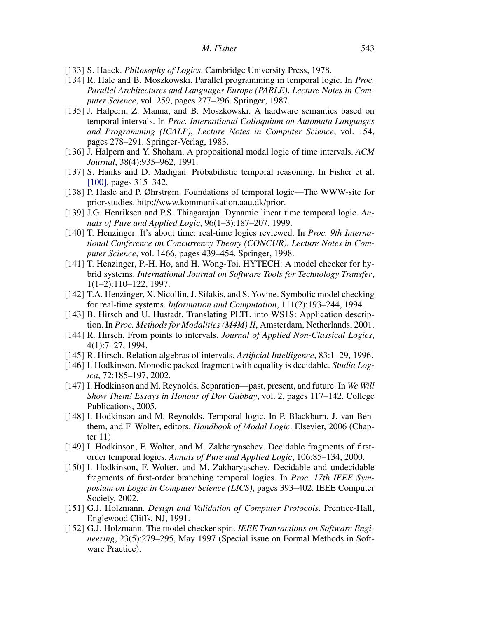- [133] S. Haack. *Philosophy of Logics*. Cambridge University Press, 1978.
- [134] R. Hale and B. Moszkowski. Parallel programming in temporal logic. In Proc. Parallel Architectures and Languages Europe (PARLE), Lecture Notes in Computer Science, vol. 259, pages 277–296. Springer, 1987.
- [135] J. Halpern, Z. Manna, and B. Moszkowski. A hardware semantics based on temporal intervals. In Proc. International Colloquium on Automata Languages and Programming (ICALP), Lecture Notes in Computer Science, vol. 154, pages 278–291. Springer-Verlag, 1983.
- [136] J. Halpern and Y. Shoham. A propositional modal logic of time intervals. ACM Journal, 38(4):935–962, 1991.
- [137] S. Hanks and D. Madigan. Probabilistic temporal reasoning. In Fisher et al. [100], pages 315–342.
- [138] P. Hasle and P. Øhrstrøm. Foundations of temporal logic—The WWW-site for prior-studies. http://www.kommunikation.aau.dk/prior.
- [139] J.G. Henriksen and P.S. Thiagarajan. Dynamic linear time temporal logic. Annals of Pure and Applied Logic, 96(1–3):187–207, 1999.
- [140] T. Henzinger. It's about time: real-time logics reviewed. In Proc. 9th International Conference on Concurrency Theory (CONCUR), Lecture Notes in Computer Science, vol. 1466, pages 439–454. Springer, 1998.
- [141] T. Henzinger, P.-H. Ho, and H. Wong-Toi. HYTECH: A model checker for hybrid systems. International Journal on Software Tools for Technology Transfer, 1(1–2):110–122, 1997.
- [142] T.A. Henzinger, X. Nicollin, J. Sifakis, and S. Yovine. Symbolic model checking for real-time systems. Information and Computation, 111(2):193–244, 1994.
- [143] B. Hirsch and U. Hustadt. Translating PLTL into WS1S: Application description. In Proc. Methods for Modalities (M4M) II, Amsterdam, Netherlands, 2001.
- [144] R. Hirsch. From points to intervals. Journal of Applied Non-Classical Logics, 4(1):7–27, 1994.
- [145] R. Hirsch. Relation algebras of intervals. Artificial Intelligence, 83:1–29, 1996.
- [146] I. Hodkinson. Monodic packed fragment with equality is decidable. *Studia Log*ica, 72:185–197, 2002.
- [147] I. Hodkinson and M. Reynolds. Separation—past, present, and future. In We Will Show Them! Essays in Honour of Dov Gabbay, vol. 2, pages 117–142. College Publications, 2005.
- [148] I. Hodkinson and M. Reynolds. Temporal logic. In P. Blackburn, J. van Benthem, and F. Wolter, editors. Handbook of Modal Logic. Elsevier, 2006 (Chapter 11).
- [149] I. Hodkinson, F. Wolter, and M. Zakharyaschev. Decidable fragments of firstorder temporal logics. Annals of Pure and Applied Logic, 106:85-134, 2000.
- [150] I. Hodkinson, F. Wolter, and M. Zakharyaschev. Decidable and undecidable fragments of first-order branching temporal logics. In Proc. 17th IEEE Symposium on Logic in Computer Science (LICS), pages 393–402. IEEE Computer Society, 2002.
- [151] G.J. Holzmann. *Design and Validation of Computer Protocols*. Prentice-Hall, Englewood Cliffs, NJ, 1991.
- [152] G.J. Holzmann. The model checker spin. *IEEE Transactions on Software Engi*neering, 23(5):279–295, May 1997 (Special issue on Formal Methods in Software Practice).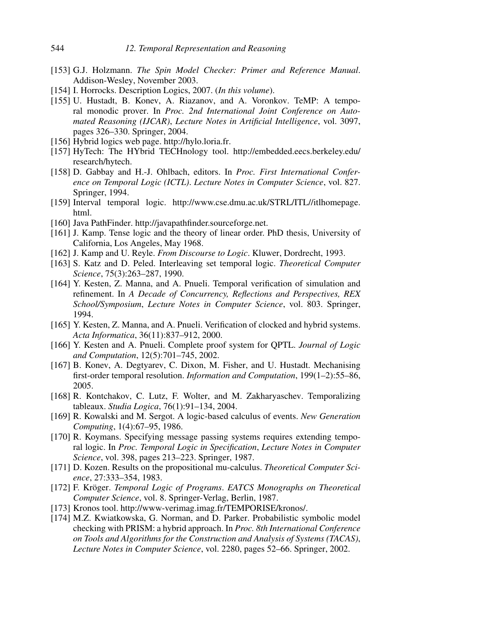- [153] G.J. Holzmann. The Spin Model Checker: Primer and Reference Manual. Addison-Wesley, November 2003.
- [154] I. Horrocks. Description Logics, 2007. (In this volume).
- [155] U. Hustadt, B. Konev, A. Riazanov, and A. Voronkov. TeMP: A temporal monodic prover. In Proc. 2nd International Joint Conference on Automated Reasoning (IJCAR), Lecture Notes in Artificial Intelligence, vol. 3097, pages 326–330. Springer, 2004.
- [156] Hybrid logics web page. http://hylo.loria.fr.
- [157] HyTech: The HYbrid TECHnology tool. http://embedded.eecs.berkeley.edu/ research/hytech.
- [158] D. Gabbay and H.-J. Ohlbach, editors. In *Proc. First International Confer*ence on Temporal Logic (ICTL). Lecture Notes in Computer Science, vol. 827. Springer, 1994.
- [159] Interval temporal logic. http://www.cse.dmu.ac.uk/STRL/ITL//itlhomepage. html.
- [160] Java PathFinder. http://javapathfinder.sourceforge.net.
- [161] J. Kamp. Tense logic and the theory of linear order. PhD thesis, University of California, Los Angeles, May 1968.
- [162] J. Kamp and U. Reyle. From Discourse to Logic. Kluwer, Dordrecht, 1993.
- [163] S. Katz and D. Peled. Interleaving set temporal logic. Theoretical Computer Science, 75(3):263–287, 1990.
- [164] Y. Kesten, Z. Manna, and A. Pnueli. Temporal verification of simulation and refinement. In A Decade of Concurrency, Reflections and Perspectives, REX School/Symposium, Lecture Notes in Computer Science, vol. 803. Springer, 1994.
- [165] Y. Kesten, Z. Manna, and A. Pnueli. Verification of clocked and hybrid systems. Acta Informatica, 36(11):837–912, 2000.
- [166] Y. Kesten and A. Pnueli. Complete proof system for QPTL. *Journal of Logic* and Computation, 12(5):701–745, 2002.
- [167] B. Konev, A. Degtyarev, C. Dixon, M. Fisher, and U. Hustadt. Mechanising first-order temporal resolution. Information and Computation, 199(1-2):55-86, 2005.
- [168] R. Kontchakov, C. Lutz, F. Wolter, and M. Zakharyaschev. Temporalizing tableaux. Studia Logica, 76(1):91–134, 2004.
- [169] R. Kowalski and M. Sergot. A logic-based calculus of events. New Generation Computing, 1(4):67–95, 1986.
- [170] R. Koymans. Specifying message passing systems requires extending temporal logic. In Proc. Temporal Logic in Specification, Lecture Notes in Computer Science, vol. 398, pages 213–223. Springer, 1987.
- [171] D. Kozen. Results on the propositional mu-calculus. Theoretical Computer Science, 27:333–354, 1983.
- [172] F. Kröger. Temporal Logic of Programs. EATCS Monographs on Theoretical Computer Science, vol. 8. Springer-Verlag, Berlin, 1987.
- [173] Kronos tool. http://www-verimag.imag.fr/TEMPORISE/kronos/.
- [174] M.Z. Kwiatkowska, G. Norman, and D. Parker. Probabilistic symbolic model checking with PRISM: a hybrid approach. In Proc. 8th International Conference on Tools and Algorithms for the Construction and Analysis of Systems (TACAS), Lecture Notes in Computer Science, vol. 2280, pages 52–66. Springer, 2002.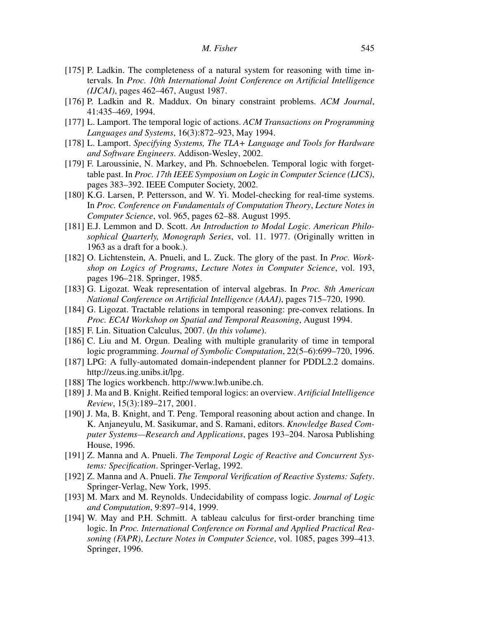- [175] P. Ladkin. The completeness of a natural system for reasoning with time intervals. In Proc. 10th International Joint Conference on Artificial Intelligence (IJCAI), pages 462–467, August 1987.
- [176] P. Ladkin and R. Maddux. On binary constraint problems. ACM Journal, 41:435–469, 1994.
- [177] L. Lamport. The temporal logic of actions. ACM Transactions on Programming Languages and Systems, 16(3):872–923, May 1994.
- [178] L. Lamport. Specifying Systems, The TLA+ Language and Tools for Hardware and Software Engineers. Addison-Wesley, 2002.
- [179] F. Laroussinie, N. Markey, and Ph. Schnoebelen. Temporal logic with forgettable past. In Proc. 17th IEEE Symposium on Logic in Computer Science (LICS), pages 383–392. IEEE Computer Society, 2002.
- [180] K.G. Larsen, P. Pettersson, and W. Yi. Model-checking for real-time systems. In Proc. Conference on Fundamentals of Computation Theory, Lecture Notes in Computer Science, vol. 965, pages 62–88. August 1995.
- [181] E.J. Lemmon and D. Scott. An Introduction to Modal Logic. American Philosophical Quarterly, Monograph Series, vol. 11. 1977. (Originally written in 1963 as a draft for a book.).
- [182] O. Lichtenstein, A. Pnueli, and L. Zuck. The glory of the past. In *Proc. Work*shop on Logics of Programs, Lecture Notes in Computer Science, vol. 193, pages 196–218. Springer, 1985.
- [183] G. Ligozat. Weak representation of interval algebras. In Proc. 8th American National Conference on Artificial Intelligence (AAAI), pages 715–720, 1990.
- [184] G. Ligozat. Tractable relations in temporal reasoning: pre-convex relations. In Proc. ECAI Workshop on Spatial and Temporal Reasoning, August 1994.
- [185] F. Lin. Situation Calculus, 2007. (In this volume).
- [186] C. Liu and M. Orgun. Dealing with multiple granularity of time in temporal logic programming. Journal of Symbolic Computation, 22(5–6):699–720, 1996.
- [187] LPG: A fully-automated domain-independent planner for PDDL2.2 domains. http://zeus.ing.unibs.it/lpg.
- [188] The logics workbench. http://www.lwb.unibe.ch.
- [189] J. Ma and B. Knight. Reified temporal logics: an overview. Artificial Intelligence Review, 15(3):189–217, 2001.
- [190] J. Ma, B. Knight, and T. Peng. Temporal reasoning about action and change. In K. Anjaneyulu, M. Sasikumar, and S. Ramani, editors. Knowledge Based Computer Systems—Research and Applications, pages 193–204. Narosa Publishing House, 1996.
- [191] Z. Manna and A. Pnueli. The Temporal Logic of Reactive and Concurrent Systems: Specification. Springer-Verlag, 1992.
- [192] Z. Manna and A. Pnueli. The Temporal Verification of Reactive Systems: Safety. Springer-Verlag, New York, 1995.
- [193] M. Marx and M. Reynolds. Undecidability of compass logic. *Journal of Logic* and Computation, 9:897–914, 1999.
- [194] W. May and P.H. Schmitt. A tableau calculus for first-order branching time logic. In Proc. International Conference on Formal and Applied Practical Reasoning (FAPR), Lecture Notes in Computer Science, vol. 1085, pages 399–413. Springer, 1996.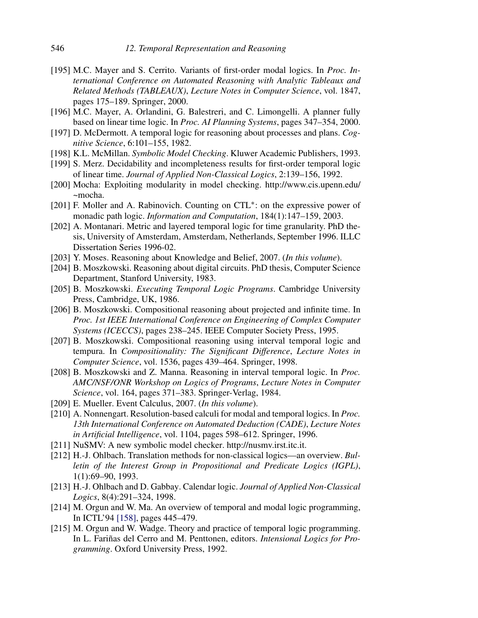- [195] M.C. Mayer and S. Cerrito. Variants of first-order modal logics. In *Proc. In*ternational Conference on Automated Reasoning with Analytic Tableaux and Related Methods (TABLEAUX), Lecture Notes in Computer Science, vol. 1847, pages 175–189. Springer, 2000.
- [196] M.C. Mayer, A. Orlandini, G. Balestreri, and C. Limongelli. A planner fully based on linear time logic. In Proc. AI Planning Systems, pages 347–354, 2000.
- [197] D. McDermott. A temporal logic for reasoning about processes and plans. Cognitive Science, 6:101–155, 1982.
- [198] K.L. McMillan. Symbolic Model Checking. Kluwer Academic Publishers, 1993.
- [199] S. Merz. Decidability and incompleteness results for first-order temporal logic of linear time. Journal of Applied Non-Classical Logics, 2:139–156, 1992.
- [200] Mocha: Exploiting modularity in model checking. http://www.cis.upenn.edu/ ~mocha.
- [201] F. Moller and A. Rabinovich. Counting on CTL<sup>\*</sup>: on the expressive power of monadic path logic. Information and Computation, 184(1):147–159, 2003.
- [202] A. Montanari. Metric and layered temporal logic for time granularity. PhD thesis, University of Amsterdam, Amsterdam, Netherlands, September 1996. ILLC Dissertation Series 1996-02.
- [203] Y. Moses. Reasoning about Knowledge and Belief, 2007. (In this volume).
- [204] B. Moszkowski. Reasoning about digital circuits. PhD thesis, Computer Science Department, Stanford University, 1983.
- [205] B. Moszkowski. Executing Temporal Logic Programs. Cambridge University Press, Cambridge, UK, 1986.
- [206] B. Moszkowski. Compositional reasoning about projected and infinite time. In Proc. 1st IEEE International Conference on Engineering of Complex Computer Systems (ICECCS), pages 238–245. IEEE Computer Society Press, 1995.
- [207] B. Moszkowski. Compositional reasoning using interval temporal logic and tempura. In Compositionality: The Significant Difference, Lecture Notes in Computer Science, vol. 1536, pages 439–464. Springer, 1998.
- [208] B. Moszkowski and Z. Manna. Reasoning in interval temporal logic. In *Proc.* AMC/NSF/ONR Workshop on Logics of Programs, Lecture Notes in Computer Science, vol. 164, pages 371–383. Springer-Verlag, 1984.
- [209] E. Mueller. Event Calculus, 2007. (In this volume).
- [210] A. Nonnengart. Resolution-based calculi for modal and temporal logics. In *Proc.* 13th International Conference on Automated Deduction (CADE), Lecture Notes in Artificial Intelligence, vol. 1104, pages 598–612. Springer, 1996.
- [211] NuSMV: A new symbolic model checker. http://nusmv.irst.itc.it.
- [212] H.-J. Ohlbach. Translation methods for non-classical logics—an overview. Bulletin of the Interest Group in Propositional and Predicate Logics (IGPL), 1(1):69–90, 1993.
- [213] H.-J. Ohlbach and D. Gabbay. Calendar logic. Journal of Applied Non-Classical Logics, 8(4):291–324, 1998.
- [214] M. Orgun and W. Ma. An overview of temporal and modal logic programming, In ICTL'94 [158], pages 445–479.
- [215] M. Orgun and W. Wadge. Theory and practice of temporal logic programming. In L. Fariñas del Cerro and M. Penttonen, editors. Intensional Logics for Programming. Oxford University Press, 1992.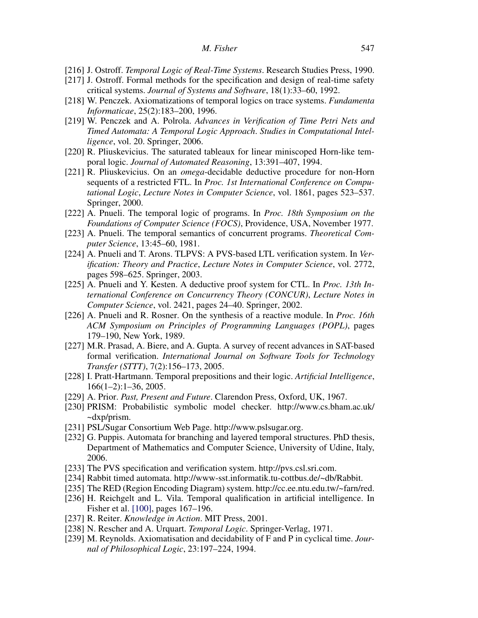- [216] J. Ostroff. Temporal Logic of Real-Time Systems. Research Studies Press, 1990.
- [217] J. Ostroff. Formal methods for the specification and design of real-time safety critical systems. Journal of Systems and Software, 18(1):33–60, 1992.
- [218] W. Penczek. Axiomatizations of temporal logics on trace systems. Fundamenta Informaticae, 25(2):183–200, 1996.
- [219] W. Penczek and A. Polrola. Advances in Verification of Time Petri Nets and Timed Automata: A Temporal Logic Approach. Studies in Computational Intelligence, vol. 20. Springer, 2006.
- [220] R. Pliuskevicius. The saturated tableaux for linear miniscoped Horn-like temporal logic. Journal of Automated Reasoning, 13:391–407, 1994.
- [221] R. Pliuskevicius. On an omega-decidable deductive procedure for non-Horn sequents of a restricted FTL. In Proc. 1st International Conference on Computational Logic, Lecture Notes in Computer Science, vol. 1861, pages 523–537. Springer, 2000.
- [222] A. Pnueli. The temporal logic of programs. In *Proc. 18th Symposium on the* Foundations of Computer Science (FOCS), Providence, USA, November 1977.
- [223] A. Pnueli. The temporal semantics of concurrent programs. *Theoretical Com*puter Science, 13:45–60, 1981.
- [224] A. Pnueli and T. Arons. TLPVS: A PVS-based LTL verification system. In Verification: Theory and Practice, Lecture Notes in Computer Science, vol. 2772, pages 598–625. Springer, 2003.
- [225] A. Pnueli and Y. Kesten. A deductive proof system for CTL. In *Proc. 13th In*ternational Conference on Concurrency Theory (CONCUR), Lecture Notes in Computer Science, vol. 2421, pages 24–40. Springer, 2002.
- [226] A. Pnueli and R. Rosner. On the synthesis of a reactive module. In *Proc. 16th* ACM Symposium on Principles of Programming Languages (POPL), pages 179–190, New York, 1989.
- [227] M.R. Prasad, A. Biere, and A. Gupta. A survey of recent advances in SAT-based formal verification. International Journal on Software Tools for Technology Transfer (STTT), 7(2):156–173, 2005.
- [228] I. Pratt-Hartmann. Temporal prepositions and their logic. Artificial Intelligence, 166(1–2):1–36, 2005.
- [229] A. Prior. Past, Present and Future. Clarendon Press, Oxford, UK, 1967.
- [230] PRISM: Probabilistic symbolic model checker. http://www.cs.bham.ac.uk/ ~dxp/prism.
- [231] PSL/Sugar Consortium Web Page. http://www.pslsugar.org.
- [232] G. Puppis. Automata for branching and layered temporal structures. PhD thesis, Department of Mathematics and Computer Science, University of Udine, Italy, 2006.
- [233] The PVS specification and verification system. http://pvs.csl.sri.com.
- [234] Rabbit timed automata. http://www-sst.informatik.tu-cottbus.de/~db/Rabbit.
- [235] The RED (Region Encoding Diagram) system. http://cc.ee.ntu.edu.tw/~farn/red.
- [236] H. Reichgelt and L. Vila. Temporal qualification in artificial intelligence. In Fisher et al. [100], pages 167–196.
- [237] R. Reiter. *Knowledge in Action*. MIT Press, 2001.
- [238] N. Rescher and A. Urquart. Temporal Logic. Springer-Verlag, 1971.
- [239] M. Reynolds. Axiomatisation and decidability of F and P in cyclical time. Journal of Philosophical Logic, 23:197–224, 1994.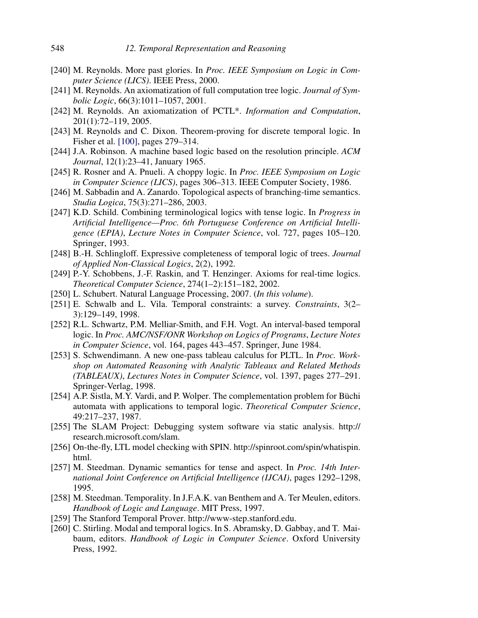- [240] M. Reynolds. More past glories. In *Proc. IEEE Symposium on Logic in Com*puter Science (LICS). IEEE Press, 2000.
- [241] M. Reynolds. An axiomatization of full computation tree logic. *Journal of Sym*bolic Logic, 66(3):1011–1057, 2001.
- [242] M. Reynolds. An axiomatization of PCTL<sup>\*</sup>. Information and Computation, 201(1):72–119, 2005.
- [243] M. Reynolds and C. Dixon. Theorem-proving for discrete temporal logic. In Fisher et al. [100], pages 279–314.
- [244] J.A. Robinson. A machine based logic based on the resolution principle. ACM Journal, 12(1):23–41, January 1965.
- [245] R. Rosner and A. Pnueli. A choppy logic. In *Proc. IEEE Symposium on Logic* in Computer Science (LICS), pages 306–313. IEEE Computer Society, 1986.
- [246] M. Sabbadin and A. Zanardo. Topological aspects of branching-time semantics. Studia Logica, 75(3):271–286, 2003.
- [247] K.D. Schild. Combining terminological logics with tense logic. In *Progress in* Artificial Intelligence—Proc. 6th Portuguese Conference on Artificial Intelligence (EPIA), Lecture Notes in Computer Science, vol. 727, pages 105–120. Springer, 1993.
- [248] B.-H. Schlingloff. Expressive completeness of temporal logic of trees. Journal of Applied Non-Classical Logics, 2(2), 1992.
- [249] P.-Y. Schobbens, J.-F. Raskin, and T. Henzinger. Axioms for real-time logics. Theoretical Computer Science, 274(1–2):151–182, 2002.
- [250] L. Schubert. Natural Language Processing, 2007. (In this volume).
- [251] E. Schwalb and L. Vila. Temporal constraints: a survey. Constraints, 3(2– 3):129–149, 1998.
- [252] R.L. Schwartz, P.M. Melliar-Smith, and F.H. Vogt. An interval-based temporal logic. In Proc. AMC/NSF/ONR Workshop on Logics of Programs, Lecture Notes in Computer Science, vol. 164, pages 443–457. Springer, June 1984.
- [253] S. Schwendimann. A new one-pass tableau calculus for PLTL. In *Proc. Work*shop on Automated Reasoning with Analytic Tableaux and Related Methods (TABLEAUX), Lectures Notes in Computer Science, vol. 1397, pages 277–291. Springer-Verlag, 1998.
- [254] A.P. Sistla, M.Y. Vardi, and P. Wolper. The complementation problem for Büchi automata with applications to temporal logic. Theoretical Computer Science, 49:217–237, 1987.
- [255] The SLAM Project: Debugging system software via static analysis. http:// research.microsoft.com/slam.
- [256] On-the-fly, LTL model checking with SPIN. http://spinroot.com/spin/whatispin. html.
- [257] M. Steedman. Dynamic semantics for tense and aspect. In *Proc. 14th Inter*national Joint Conference on Artificial Intelligence (IJCAI), pages 1292–1298, 1995.
- [258] M. Steedman. Temporality. In J.F.A.K. van Benthem and A. Ter Meulen, editors. Handbook of Logic and Language. MIT Press, 1997.
- [259] The Stanford Temporal Prover. http://www-step.stanford.edu.
- [260] C. Stirling. Modal and temporal logics. In S. Abramsky, D. Gabbay, and T. Maibaum, editors. Handbook of Logic in Computer Science. Oxford University Press, 1992.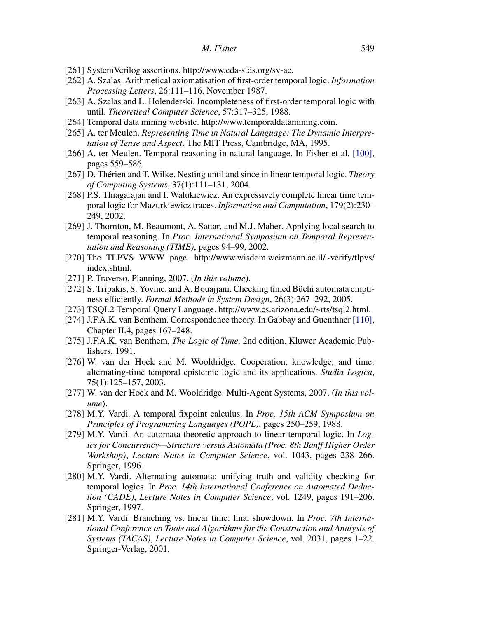- [261] SystemVerilog assertions. http://www.eda-stds.org/sv-ac.
- [262] A. Szalas. Arithmetical axiomatisation of first-order temporal logic. Information Processing Letters, 26:111–116, November 1987.
- [263] A. Szalas and L. Holenderski. Incompleteness of first-order temporal logic with until. Theoretical Computer Science, 57:317–325, 1988.
- [264] Temporal data mining website. http://www.temporaldatamining.com.
- [265] A. ter Meulen. Representing Time in Natural Language: The Dynamic Interpretation of Tense and Aspect. The MIT Press, Cambridge, MA, 1995.
- [266] A. ter Meulen. Temporal reasoning in natural language. In Fisher et al. [100], pages 559–586.
- [267] D. Thérien and T. Wilke. Nesting until and since in linear temporal logic. Theory of Computing Systems, 37(1):111–131, 2004.
- [268] P.S. Thiagarajan and I. Walukiewicz. An expressively complete linear time temporal logic for Mazurkiewicz traces. Information and Computation, 179(2):230– 249, 2002.
- [269] J. Thornton, M. Beaumont, A. Sattar, and M.J. Maher. Applying local search to temporal reasoning. In Proc. International Symposium on Temporal Representation and Reasoning (TIME), pages 94–99, 2002.
- [270] The TLPVS WWW page. http://www.wisdom.weizmann.ac.il/~verify/tlpvs/ index.shtml.
- [271] P. Traverso. Planning, 2007. (In this volume).
- [272] S. Tripakis, S. Yovine, and A. Bouajjani. Checking timed Büchi automata emptiness efficiently. Formal Methods in System Design, 26(3):267–292, 2005.
- [273] TSQL2 Temporal Query Language. http://www.cs.arizona.edu/~rts/tsql2.html.
- [274] J.F.A.K. van Benthem. Correspondence theory. In Gabbay and Guenthner [110], Chapter II.4, pages 167–248.
- [275] J.F.A.K. van Benthem. The Logic of Time. 2nd edition. Kluwer Academic Publishers, 1991.
- [276] W. van der Hoek and M. Wooldridge. Cooperation, knowledge, and time: alternating-time temporal epistemic logic and its applications. Studia Logica, 75(1):125–157, 2003.
- [277] W. van der Hoek and M. Wooldridge. Multi-Agent Systems, 2007. (In this volume).
- [278] M.Y. Vardi. A temporal fixpoint calculus. In Proc. 15th ACM Symposium on Principles of Programming Languages (POPL), pages 250–259, 1988.
- [279] M.Y. Vardi. An automata-theoretic approach to linear temporal logic. In Logics for Concurrency—Structure versus Automata (Proc. 8th Banff Higher Order Workshop), Lecture Notes in Computer Science, vol. 1043, pages 238–266. Springer, 1996.
- [280] M.Y. Vardi. Alternating automata: unifying truth and validity checking for temporal logics. In Proc. 14th International Conference on Automated Deduction (CADE), Lecture Notes in Computer Science, vol. 1249, pages 191–206. Springer, 1997.
- [281] M.Y. Vardi. Branching vs. linear time: final showdown. In *Proc. 7th Interna*tional Conference on Tools and Algorithms for the Construction and Analysis of Systems (TACAS), Lecture Notes in Computer Science, vol. 2031, pages 1–22. Springer-Verlag, 2001.